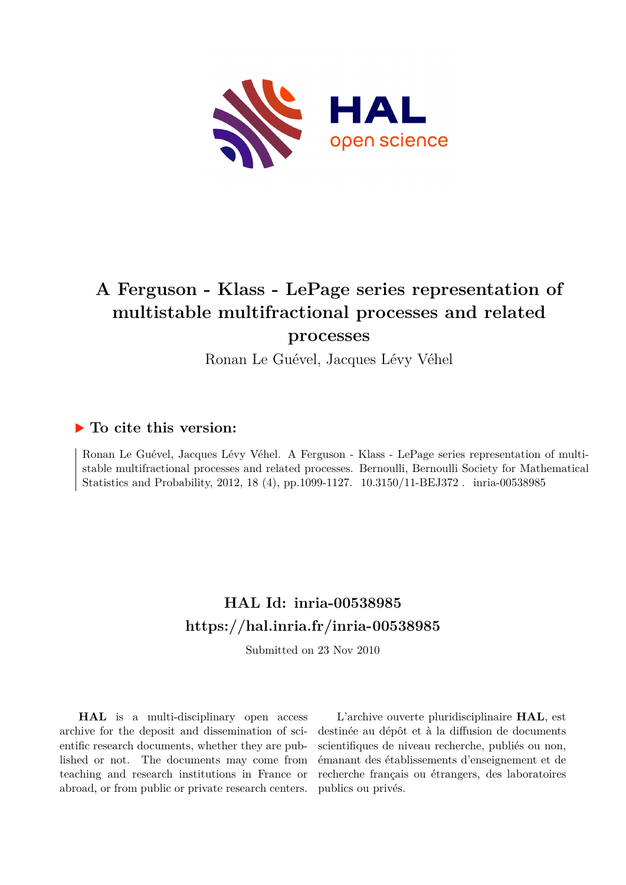

# **A Ferguson - Klass - LePage series representation of multistable multifractional processes and related processes**

Ronan Le Guével, Jacques Lévy Véhel

### **To cite this version:**

Ronan Le Guével, Jacques Lévy Véhel. A Ferguson - Klass - LePage series representation of multistable multifractional processes and related processes. Bernoulli, Bernoulli Society for Mathematical Statistics and Probability, 2012, 18 (4), pp.1099-1127. 10.3150/11-BEJ372. inria-00538985

## **HAL Id: inria-00538985 <https://hal.inria.fr/inria-00538985>**

Submitted on 23 Nov 2010

**HAL** is a multi-disciplinary open access archive for the deposit and dissemination of scientific research documents, whether they are published or not. The documents may come from teaching and research institutions in France or abroad, or from public or private research centers.

L'archive ouverte pluridisciplinaire **HAL**, est destinée au dépôt et à la diffusion de documents scientifiques de niveau recherche, publiés ou non, émanant des établissements d'enseignement et de recherche français ou étrangers, des laboratoires publics ou privés.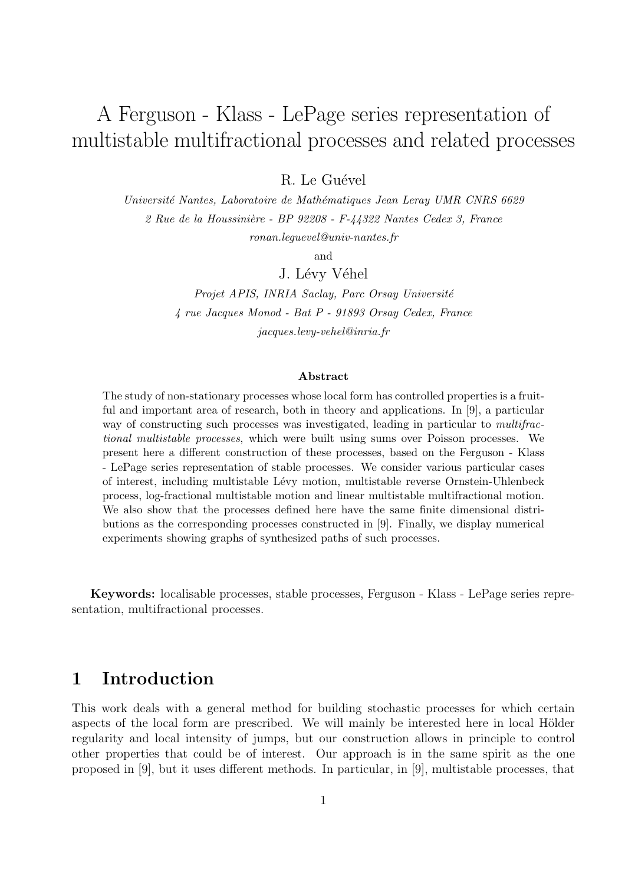# A Ferguson - Klass - LePage series representation of multistable multifractional processes and related processes

R. Le Guével

Université Nantes, Laboratoire de Mathématiques Jean Leray UMR CNRS 6629  $2$  Rue de la Houssinière - BP 92208 - F-44322 Nantes Cedex 3, France ronan.leguevel@univ-nantes.fr

and

J. Lévy Véhel

Projet APIS, INRIA Saclay, Parc Orsay Université 4 rue Jacques Monod - Bat P - 91893 Orsay Cedex, France jacques.levy-vehel@inria.fr

#### Abstract

The study of non-stationary processes whose local form has controlled properties is a fruitful and important area of research, both in theory and applications. In [9], a particular way of constructing such processes was investigated, leading in particular to *multifrac*tional multistable processes, which were built using sums over Poisson processes. We present here a different construction of these processes, based on the Ferguson - Klass - LePage series representation of stable processes. We consider various particular cases of interest, including multistable Lévy motion, multistable reverse Ornstein-Uhlenbeck process, log-fractional multistable motion and linear multistable multifractional motion. We also show that the processes defined here have the same finite dimensional distributions as the corresponding processes constructed in [9]. Finally, we display numerical experiments showing graphs of synthesized paths of such processes.

Keywords: localisable processes, stable processes, Ferguson - Klass - LePage series representation, multifractional processes.

## 1 Introduction

This work deals with a general method for building stochastic processes for which certain aspects of the local form are prescribed. We will mainly be interested here in local Hölder regularity and local intensity of jumps, but our construction allows in principle to control other properties that could be of interest. Our approach is in the same spirit as the one proposed in [9], but it uses different methods. In particular, in [9], multistable processes, that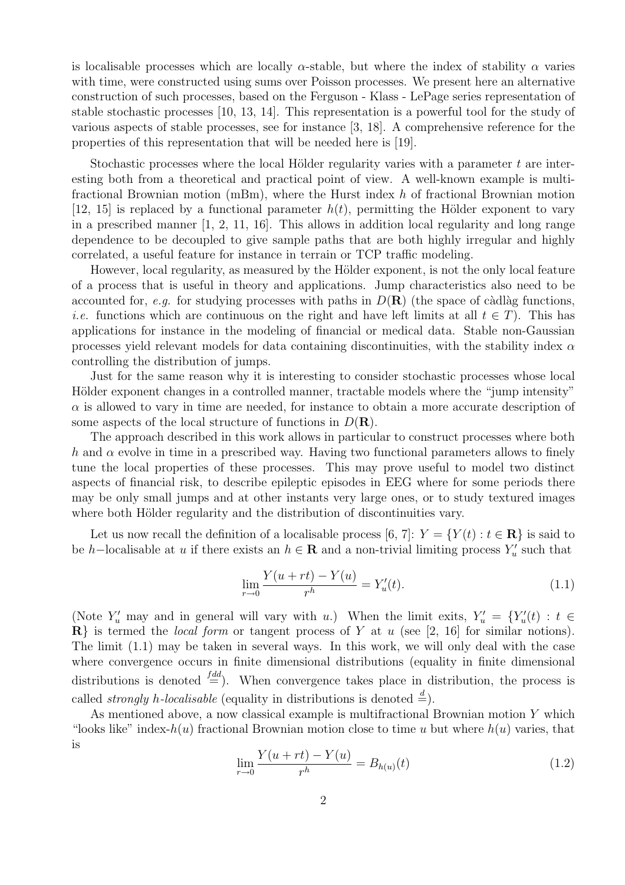is localisable processes which are locally  $\alpha$ -stable, but where the index of stability  $\alpha$  varies with time, were constructed using sums over Poisson processes. We present here an alternative construction of such processes, based on the Ferguson - Klass - LePage series representation of stable stochastic processes [10, 13, 14]. This representation is a powerful tool for the study of various aspects of stable processes, see for instance [3, 18]. A comprehensive reference for the properties of this representation that will be needed here is [19].

Stochastic processes where the local Hölder regularity varies with a parameter  $t$  are interesting both from a theoretical and practical point of view. A well-known example is multifractional Brownian motion (mBm), where the Hurst index h of fractional Brownian motion [12, 15] is replaced by a functional parameter  $h(t)$ , permitting the Hölder exponent to vary in a prescribed manner [1, 2, 11, 16]. This allows in addition local regularity and long range dependence to be decoupled to give sample paths that are both highly irregular and highly correlated, a useful feature for instance in terrain or TCP traffic modeling.

However, local regularity, as measured by the Hölder exponent, is not the only local feature of a process that is useful in theory and applications. Jump characteristics also need to be accounted for, e.g. for studying processes with paths in  $D(\mathbf{R})$  (the space of càdlàg functions, *i.e.* functions which are continuous on the right and have left limits at all  $t \in T$ ). This has applications for instance in the modeling of financial or medical data. Stable non-Gaussian processes yield relevant models for data containing discontinuities, with the stability index  $\alpha$ controlling the distribution of jumps.

Just for the same reason why it is interesting to consider stochastic processes whose local Hölder exponent changes in a controlled manner, tractable models where the "jump intensity"  $\alpha$  is allowed to vary in time are needed, for instance to obtain a more accurate description of some aspects of the local structure of functions in  $D(\mathbf{R})$ .

The approach described in this work allows in particular to construct processes where both h and  $\alpha$  evolve in time in a prescribed way. Having two functional parameters allows to finely tune the local properties of these processes. This may prove useful to model two distinct aspects of financial risk, to describe epileptic episodes in EEG where for some periods there may be only small jumps and at other instants very large ones, or to study textured images where both Hölder regularity and the distribution of discontinuities vary.

Let us now recall the definition of a localisable process [6, 7]:  $Y = \{Y(t) : t \in \mathbb{R}\}\$ is said to be h–localisable at u if there exists an  $h \in \mathbf{R}$  and a non-trivial limiting process  $Y'_u$  such that

$$
\lim_{r \to 0} \frac{Y(u + rt) - Y(u)}{r^h} = Y'_u(t).
$$
\n(1.1)

(Note  $Y'_u$  may and in general will vary with u.) When the limit exits,  $Y'_u = \{Y'_u(t) : t \in$  $\mathbb{R}$  is termed the *local form* or tangent process of Y at u (see [2, 16] for similar notions). The limit (1.1) may be taken in several ways. In this work, we will only deal with the case where convergence occurs in finite dimensional distributions (equality in finite dimensional distributions is denoted  $\frac{f^{dd}}{=}$ ). When convergence takes place in distribution, the process is called *strongly h-localisable* (equality in distributions is denoted  $\stackrel{d}{=}$ ).

As mentioned above, a now classical example is multifractional Brownian motion Y which "looks like" index- $h(u)$  fractional Brownian motion close to time u but where  $h(u)$  varies, that is

$$
\lim_{r \to 0} \frac{Y(u + rt) - Y(u)}{r^h} = B_{h(u)}(t)
$$
\n(1.2)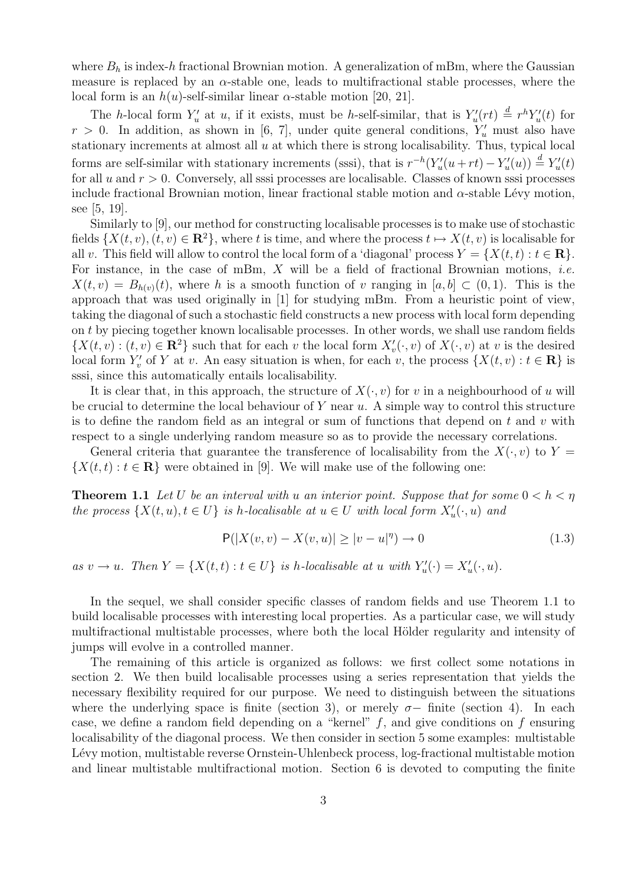where  $B_h$  is index-h fractional Brownian motion. A generalization of mBm, where the Gaussian measure is replaced by an  $\alpha$ -stable one, leads to multifractional stable processes, where the local form is an  $h(u)$ -self-similar linear  $\alpha$ -stable motion [20, 21].

The h-local form  $Y'_u$  at u, if it exists, must be h-self-similar, that is  $Y'_u(rt) \triangleq r^h Y'_u(t)$  for  $r > 0$ . In addition, as shown in [6, 7], under quite general conditions,  $Y'_u$  must also have stationary increments at almost all  $u$  at which there is strong localisability. Thus, typical local forms are self-similar with stationary increments (sssi), that is  $r^{-h}(Y_u'(u + rt) - Y_u'(u)) \stackrel{d}{=} Y_u'(t)$ for all  $u$  and  $r > 0$ . Conversely, all sssi processes are localisable. Classes of known sssi processes include fractional Brownian motion, linear fractional stable motion and  $\alpha$ -stable Lévy motion, see [5, 19].

Similarly to [9], our method for constructing localisable processes is to make use of stochastic fields  $\{X(t, v), (t, v) \in \mathbb{R}^2\}$ , where t is time, and where the process  $t \mapsto X(t, v)$  is localisable for all v. This field will allow to control the local form of a 'diagonal' process  $Y = \{X(t,t): t \in \mathbb{R}\}.$ For instance, in the case of mBm,  $X$  will be a field of fractional Brownian motions, *i.e.*  $X(t, v) = B_{h(v)}(t)$ , where h is a smooth function of v ranging in [a, b]  $\subset (0, 1)$ . This is the approach that was used originally in [1] for studying mBm. From a heuristic point of view, taking the diagonal of such a stochastic field constructs a new process with local form depending on t by piecing together known localisable processes. In other words, we shall use random fields  $\{X(t, v) : (t, v) \in \mathbb{R}^2\}$  such that for each v the local form  $X'_v(\cdot, v)$  of  $X(\cdot, v)$  at v is the desired local form  $Y'_v$  of Y at v. An easy situation is when, for each v, the process  $\{X(t, v) : t \in \mathbf{R}\}\)$  is sssi, since this automatically entails localisability.

It is clear that, in this approach, the structure of  $X(\cdot, v)$  for v in a neighbourhood of u will be crucial to determine the local behaviour of  $Y$  near  $u$ . A simple way to control this structure is to define the random field as an integral or sum of functions that depend on  $t$  and  $v$  with respect to a single underlying random measure so as to provide the necessary correlations.

General criteria that guarantee the transference of localisability from the  $X(\cdot, v)$  to  $Y =$  $\{X(t,t): t \in \mathbf{R}\}\$  were obtained in [9]. We will make use of the following one:

**Theorem 1.1** Let U be an interval with u an interior point. Suppose that for some  $0 < h < \eta$ the process  $\{X(t, u), t \in U\}$  is h-localisable at  $u \in U$  with local form  $X'_u(\cdot, u)$  and

$$
P(|X(v,v) - X(v,u)| \ge |v - u|^{\eta}) \to 0
$$
\n(1.3)

as  $v \to u$ . Then  $Y = \{X(t,t) : t \in U\}$  is h-localisable at u with  $Y'_u(\cdot) = X'_u(\cdot, u)$ .

In the sequel, we shall consider specific classes of random fields and use Theorem 1.1 to build localisable processes with interesting local properties. As a particular case, we will study multifractional multistable processes, where both the local Hölder regularity and intensity of jumps will evolve in a controlled manner.

The remaining of this article is organized as follows: we first collect some notations in section 2. We then build localisable processes using a series representation that yields the necessary flexibility required for our purpose. We need to distinguish between the situations where the underlying space is finite (section 3), or merely  $\sigma$ -finite (section 4). In each case, we define a random field depending on a "kernel"  $f$ , and give conditions on  $f$  ensuring localisability of the diagonal process. We then consider in section 5 some examples: multistable Lévy motion, multistable reverse Ornstein-Uhlenbeck process, log-fractional multistable motion and linear multistable multifractional motion. Section 6 is devoted to computing the finite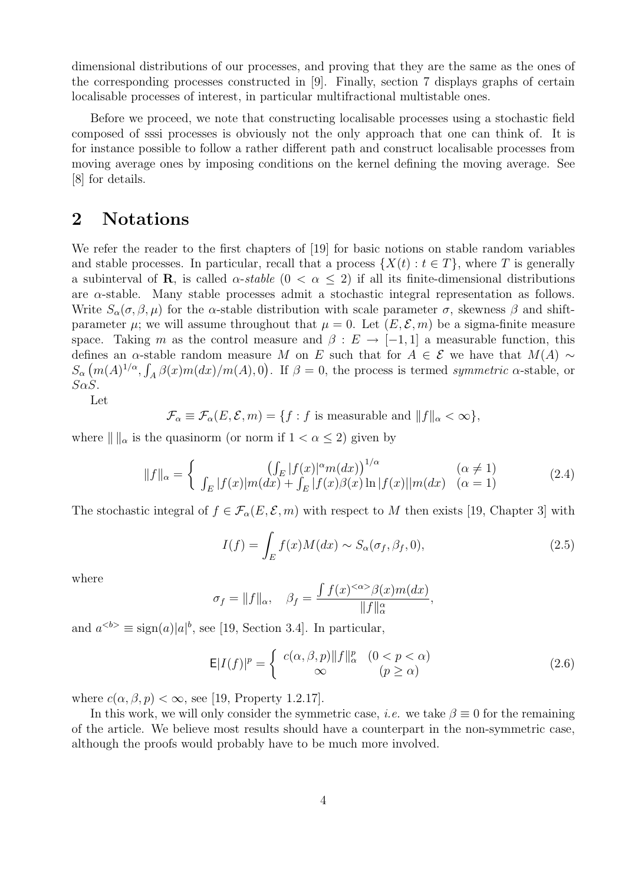dimensional distributions of our processes, and proving that they are the same as the ones of the corresponding processes constructed in [9]. Finally, section 7 displays graphs of certain localisable processes of interest, in particular multifractional multistable ones.

Before we proceed, we note that constructing localisable processes using a stochastic field composed of sssi processes is obviously not the only approach that one can think of. It is for instance possible to follow a rather different path and construct localisable processes from moving average ones by imposing conditions on the kernel defining the moving average. See [8] for details.

### 2 Notations

We refer the reader to the first chapters of [19] for basic notions on stable random variables and stable processes. In particular, recall that a process  $\{X(t): t \in T\}$ , where T is generally a subinterval of **R**, is called  $\alpha$ -stable  $(0 < \alpha \leq 2)$  if all its finite-dimensional distributions are  $\alpha$ -stable. Many stable processes admit a stochastic integral representation as follows. Write  $S_\alpha(\sigma,\beta,\mu)$  for the  $\alpha$ -stable distribution with scale parameter  $\sigma$ , skewness  $\beta$  and shiftparameter  $\mu$ ; we will assume throughout that  $\mu = 0$ . Let  $(E, \mathcal{E}, m)$  be a sigma-finite measure space. Taking m as the control measure and  $\beta : E \to [-1,1]$  a measurable function, this defines an  $\alpha$ -stable random measure M on E such that for  $A \in \mathcal{E}$  we have that  $M(A) \sim$  $S_{\alpha}(m(A)^{1/\alpha}, \int_A \beta(x)m(dx)/m(A), 0)$ . If  $\beta = 0$ , the process is termed symmetric  $\alpha$ -stable, or  $S\alpha S$ .

Let

 $\mathcal{F}_{\alpha} \equiv \mathcal{F}_{\alpha}(E, \mathcal{E}, m) = \{f : f \text{ is measurable and } ||f||_{\alpha} < \infty\},\$ 

where  $\| \cdot \|_{\alpha}$  is the quasinorm (or norm if  $1 < \alpha \leq 2$ ) given by

$$
||f||_{\alpha} = \begin{cases} ( \int_{E} |f(x)|^{\alpha} m(dx) \Big)^{1/\alpha} & (\alpha \neq 1) \\ \int_{E} |f(x)| m(dx) + \int_{E} |f(x)|^{\alpha} m(dx) \ln |f(x)| |m(dx) & (\alpha = 1) \end{cases}
$$
(2.4)

The stochastic integral of  $f \in \mathcal{F}_{\alpha}(E, \mathcal{E}, m)$  with respect to M then exists [19, Chapter 3] with

$$
I(f) = \int_{E} f(x)M(dx) \sim S_{\alpha}(\sigma_f, \beta_f, 0),
$$
\n(2.5)

where

$$
\sigma_f = ||f||_{\alpha}, \quad \beta_f = \frac{\int f(x)^{<\alpha>} \beta(x) m(dx)}{||f||_{\alpha}^{\alpha}},
$$

and  $a^{**} \equiv \text{sign}(a)|a|^{b}**$ , see [19, Section 3.4]. In particular,

$$
\mathsf{E}|I(f)|^p = \begin{cases} c(\alpha,\beta,p) \|f\|_\alpha^p & (0 < p < \alpha) \\ \infty & (p \ge \alpha) \end{cases}
$$
 (2.6)

where  $c(\alpha, \beta, p) < \infty$ , see [19, Property 1.2.17].

In this work, we will only consider the symmetric case, *i.e.* we take  $\beta \equiv 0$  for the remaining of the article. We believe most results should have a counterpart in the non-symmetric case, although the proofs would probably have to be much more involved.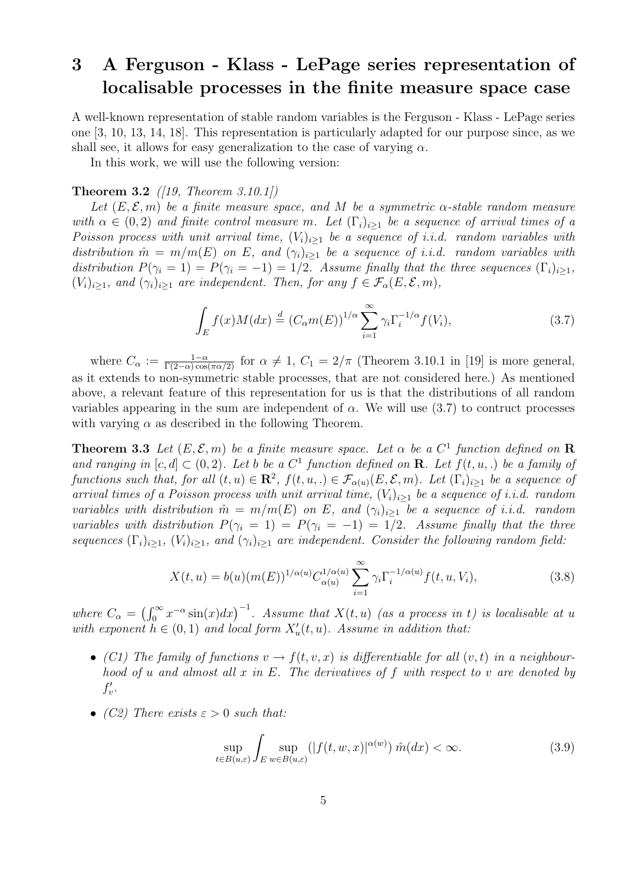## 3 A Ferguson - Klass - LePage series representation of localisable processes in the finite measure space case

A well-known representation of stable random variables is the Ferguson - Klass - LePage series one [3, 10, 13, 14, 18]. This representation is particularly adapted for our purpose since, as we shall see, it allows for easy generalization to the case of varying  $\alpha$ .

In this work, we will use the following version:

### **Theorem 3.2** ([19, Theorem 3.10.1])

Let  $(E, \mathcal{E}, m)$  be a finite measure space, and M be a symmetric  $\alpha$ -stable random measure with  $\alpha \in (0, 2)$  and finite control measure m. Let  $(\Gamma_i)_{i>1}$  be a sequence of arrival times of a Poisson process with unit arrival time,  $(V_i)_{i>1}$  be a sequence of i.i.d. random variables with distribution  $\hat{m} = m/m(E)$  on E, and  $(\gamma_i)_{i>1}$  be a sequence of i.i.d. random variables with distribution  $P(\gamma_i = 1) = P(\gamma_i = -1) = 1/2$ . Assume finally that the three sequences  $(\Gamma_i)_{i \geq 1}$ ,  $(V_i)_{i\geq 1}$ , and  $(\gamma_i)_{i\geq 1}$  are independent. Then, for any  $f \in \mathcal{F}_{\alpha}(E,\mathcal{E},m)$ ,

$$
\int_{E} f(x)M(dx) \stackrel{d}{=} (C_{\alpha}m(E))^{1/\alpha} \sum_{i=1}^{\infty} \gamma_{i} \Gamma_{i}^{-1/\alpha} f(V_{i}), \tag{3.7}
$$

where  $C_{\alpha} := \frac{1-\alpha}{\Gamma(2-\alpha)\cos(\pi\alpha/2)}$  for  $\alpha \neq 1$ ,  $C_1 = 2/\pi$  (Theorem 3.10.1 in [19] is more general, as it extends to non-symmetric stable processes, that are not considered here.) As mentioned above, a relevant feature of this representation for us is that the distributions of all random variables appearing in the sum are independent of  $\alpha$ . We will use (3.7) to contruct processes with varying  $\alpha$  as described in the following Theorem.

**Theorem 3.3** Let  $(E, \mathcal{E}, m)$  be a finite measure space. Let  $\alpha$  be a  $C^1$  function defined on **R** and ranging in  $[c, d] \subset (0, 2)$ . Let b be a  $C^1$  function defined on **R**. Let  $f(t, u,.)$  be a family of functions such that, for all  $(t, u) \in \mathbb{R}^2$ ,  $f(t, u, u) \in \mathcal{F}_{\alpha(u)}(E, \mathcal{E}, m)$ . Let  $(\Gamma_i)_{i \geq 1}$  be a sequence of arrival times of a Poisson process with unit arrival time,  $(V_i)_{i\geq 1}$  be a sequence of i.i.d. random variables with distribution  $\hat{m} = m/m(E)$  on E, and  $(\gamma_i)_{i>1}$  be a sequence of i.i.d. random variables with distribution  $P(\gamma_i = 1) = P(\gamma_i = -1) = 1/2$ . Assume finally that the three sequences  $(\Gamma_i)_{i\geq 1}$ ,  $(V_i)_{i\geq 1}$ , and  $(\gamma_i)_{i\geq 1}$  are independent. Consider the following random field:

$$
X(t, u) = b(u)(m(E))^{1/\alpha(u)} C_{\alpha(u)}^{1/\alpha(u)} \sum_{i=1}^{\infty} \gamma_i \Gamma_i^{-1/\alpha(u)} f(t, u, V_i), \qquad (3.8)
$$

where  $C_{\alpha} =$  $\sqrt{r^{\infty}}$  $\int_0^\infty x^{-\alpha} \sin(x) dx$ <sup>-1</sup>. Assume that  $X(t, u)$  (as a process in t) is localisable at u with exponent  $h \in (0,1)$  and local form  $X'_u(t, u)$ . Assume in addition that:

- (C1) The family of functions  $v \to f(t, v, x)$  is differentiable for all  $(v, t)$  in a neighbourhood of u and almost all x in E. The derivatives of f with respect to v are denoted by  $f'_v$ .
- (C2) There exists  $\varepsilon > 0$  such that:

$$
\sup_{t \in B(u,\varepsilon)} \int_{E} \sup_{w \in B(u,\varepsilon)} (|f(t,w,x)|^{\alpha(w)}) \hat{m}(dx) < \infty. \tag{3.9}
$$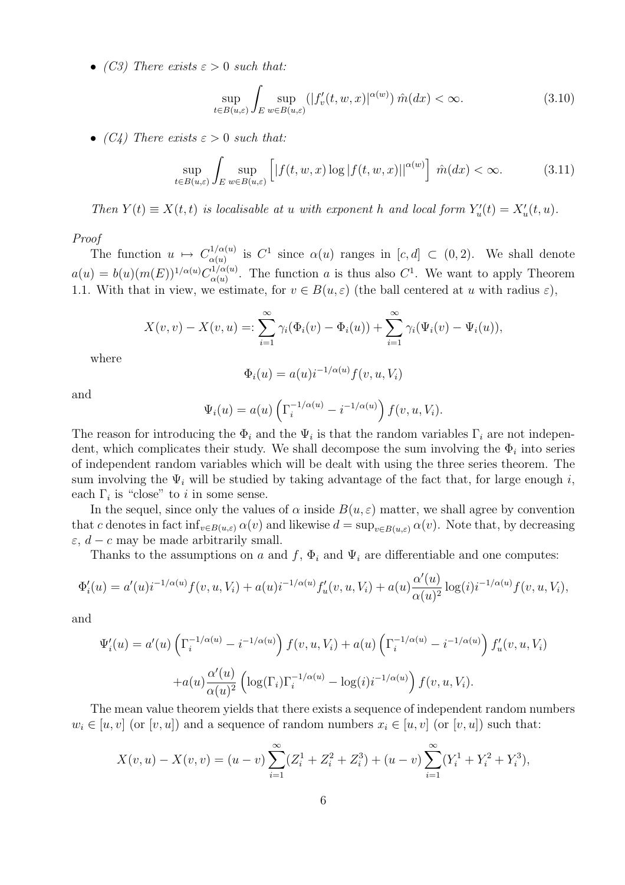• (C3) There exists  $\varepsilon > 0$  such that:

$$
\sup_{t \in B(u,\varepsilon)} \int_{E} \sup_{w \in B(u,\varepsilon)} (|f'_v(t,w,x)|^{\alpha(w)}) \hat{m}(dx) < \infty. \tag{3.10}
$$

• (C4) There exists  $\varepsilon > 0$  such that:

$$
\sup_{t \in B(u,\varepsilon)} \int_{E} \sup_{w \in B(u,\varepsilon)} \left[ |f(t,w,x)\log|f(t,w,x)||^{\alpha(w)} \right] \hat{m}(dx) < \infty. \tag{3.11}
$$

Then  $Y(t) \equiv X(t, t)$  is localisable at u with exponent h and local form  $Y_u'(t) = X_u'(t, u)$ .

Proof

The function  $u \mapsto C_{\alpha(u)}^{1/\alpha(u)}$  $\alpha(u)$  is  $C^1$  since  $\alpha(u)$  ranges in  $[c, d] \subset (0, 2)$ . We shall denote  $a(u) = b(u)(m(E))^{1/\alpha(u)} C_{\alpha(u)}^{1/\alpha(u)}$  $\alpha(u)$ <sup>1/ $\alpha(u)$ </sup>. The function a is thus also  $C^1$ . We want to apply Theorem 1.1. With that in view, we estimate, for  $v \in B(u, \varepsilon)$  (the ball centered at u with radius  $\varepsilon$ ),

$$
X(v, v) - X(v, u) =: \sum_{i=1}^{\infty} \gamma_i(\Phi_i(v) - \Phi_i(u)) + \sum_{i=1}^{\infty} \gamma_i(\Psi_i(v) - \Psi_i(u)),
$$

where

$$
\Phi_i(u) = a(u)i^{-1/\alpha(u)}f(v, u, V_i)
$$

and

$$
\Psi_i(u) = a(u) \left( \Gamma_i^{-1/\alpha(u)} - i^{-1/\alpha(u)} \right) f(v, u, V_i).
$$

The reason for introducing the  $\Phi_i$  and the  $\Psi_i$  is that the random variables  $\Gamma_i$  are not independent, which complicates their study. We shall decompose the sum involving the  $\Phi_i$  into series of independent random variables which will be dealt with using the three series theorem. The sum involving the  $\Psi_i$  will be studied by taking advantage of the fact that, for large enough i, each  $\Gamma_i$  is "close" to *i* in some sense.

In the sequel, since only the values of  $\alpha$  inside  $B(u, \varepsilon)$  matter, we shall agree by convention that c denotes in fact  $\inf_{v \in B(u,\varepsilon)} \alpha(v)$  and likewise  $d = \sup_{v \in B(u,\varepsilon)} \alpha(v)$ . Note that, by decreasing  $\varepsilon$ ,  $d - c$  may be made arbitrarily small.

Thanks to the assumptions on a and f,  $\Phi_i$  and  $\Psi_i$  are differentiable and one computes:

$$
\Phi'_i(u) = a'(u)i^{-1/\alpha(u)}f(v, u, V_i) + a(u)i^{-1/\alpha(u)}f'_u(v, u, V_i) + a(u)\frac{\alpha'(u)}{\alpha(u)^2}\log(i)i^{-1/\alpha(u)}f(v, u, V_i),
$$

and

$$
\Psi_i'(u) = a'(u) \left( \Gamma_i^{-1/\alpha(u)} - i^{-1/\alpha(u)} \right) f(v, u, V_i) + a(u) \left( \Gamma_i^{-1/\alpha(u)} - i^{-1/\alpha(u)} \right) f'_u(v, u, V_i)
$$

$$
+ a(u) \frac{\alpha'(u)}{\alpha(u)^2} \left( \log(\Gamma_i) \Gamma_i^{-1/\alpha(u)} - \log(i) i^{-1/\alpha(u)} \right) f(v, u, V_i).
$$

The mean value theorem yields that there exists a sequence of independent random numbers  $w_i \in [u, v]$  (or  $[v, u]$ ) and a sequence of random numbers  $x_i \in [u, v]$  (or  $[v, u]$ ) such that:

$$
X(v, u) - X(v, v) = (u - v) \sum_{i=1}^{\infty} (Z_i^1 + Z_i^2 + Z_i^3) + (u - v) \sum_{i=1}^{\infty} (Y_i^1 + Y_i^2 + Y_i^3),
$$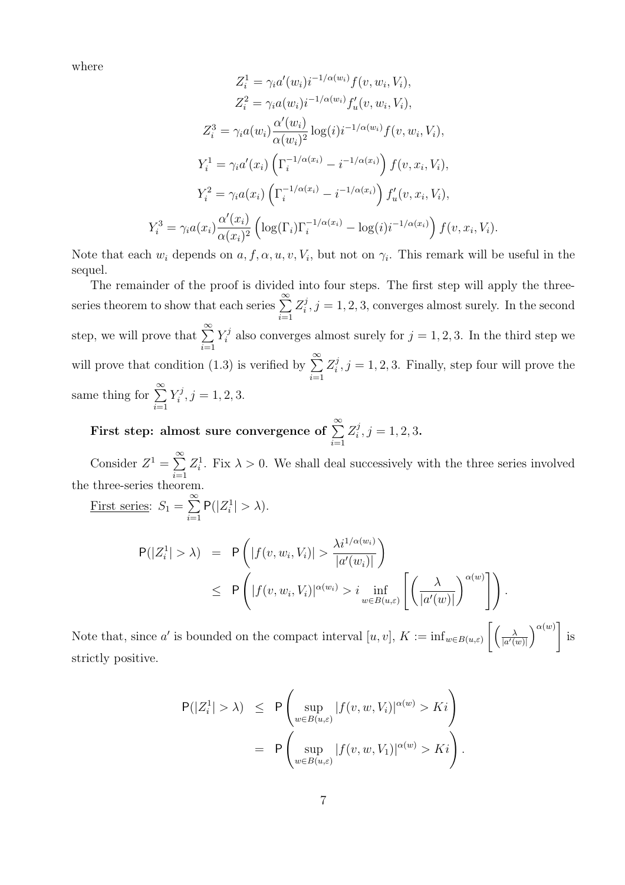where

$$
Z_{i}^{1} = \gamma_{i} a'(w_{i}) i^{-1/\alpha(w_{i})} f(v, w_{i}, V_{i}),
$$
  
\n
$$
Z_{i}^{2} = \gamma_{i} a(w_{i}) i^{-1/\alpha(w_{i})} f'_{u}(v, w_{i}, V_{i}),
$$
  
\n
$$
Z_{i}^{3} = \gamma_{i} a(w_{i}) \frac{\alpha'(w_{i})}{\alpha(w_{i})^{2}} \log(i) i^{-1/\alpha(w_{i})} f(v, w_{i}, V_{i}),
$$
  
\n
$$
Y_{i}^{1} = \gamma_{i} a'(x_{i}) \left(\Gamma_{i}^{-1/\alpha(x_{i})} - i^{-1/\alpha(x_{i})}\right) f(v, x_{i}, V_{i}),
$$
  
\n
$$
Y_{i}^{2} = \gamma_{i} a(x_{i}) \left(\Gamma_{i}^{-1/\alpha(x_{i})} - i^{-1/\alpha(x_{i})}\right) f'_{u}(v, x_{i}, V_{i}),
$$
  
\n
$$
Y_{i}^{3} = \gamma_{i} a(x_{i}) \frac{\alpha'(x_{i})}{\alpha(x_{i})^{2}} \left(\log(\Gamma_{i}) \Gamma_{i}^{-1/\alpha(x_{i})} - \log(i) i^{-1/\alpha(x_{i})}\right) f(v, x_{i}, V_{i}).
$$

Note that each  $w_i$  depends on  $a, f, \alpha, u, v, V_i$ , but not on  $\gamma_i$ . This remark will be useful in the sequel.

The remainder of the proof is divided into four steps. The first step will apply the threeseries theorem to show that each series  $\sum_{n=1}^{\infty}$  $i=1$  $Z_i^j$  $i,j=1,2,3$ , converges almost surely. In the second step, we will prove that  $\sum_{n=1}^{\infty}$  $i=1$  $Y_i^j$ <sup>f</sup> also converges almost surely for  $j = 1, 2, 3$ . In the third step we will prove that condition (1.3) is verified by  $\sum_{n=1}^{\infty}$  $i=1$  $Z_i^j$  $i<sub>i</sub>$ ,  $j = 1, 2, 3$ . Finally, step four will prove the same thing for  $\sum_{n=1}^{\infty}$  $i=1$  $Y_i^j$  $j^j, j = 1, 2, 3.$ 

First step: almost sure convergence of  $\sum^{\infty}$  $i=1$  $Z_i^j$  $j<sub>i</sub>, j = 1, 2, 3.$ 

Consider  $Z^1 = \sum_{n=1}^{\infty}$  $i=1$  $Z_i^1$ . Fix  $\lambda > 0$ . We shall deal successively with the three series involved the three-series theorem.

First series:  $S_1 =$  $\approx$  $i=1$  $P(|Z_i^1| > \lambda).$ 

$$
P(|Z_i^1| > \lambda) = P\left(|f(v, w_i, V_i)| > \frac{\lambda i^{1/\alpha(w_i)}}{|a'(w_i)|}\right)
$$
  
\n
$$
\leq P\left(|f(v, w_i, V_i)|^{\alpha(w_i)} > i \inf_{w \in B(u,\varepsilon)} \left[\left(\frac{\lambda}{|a'(w)|}\right)^{\alpha(w)}\right]\right).
$$

Note that, since a' is bounded on the compact interval  $[u, v]$ ,  $K := \inf_{w \in B(u, \varepsilon)}$  $\int \frac{1}{\sqrt{2}}$  $|a'(w)|$ is strictly positive.

$$
P(|Z_i^1| > \lambda) \le P\left(\sup_{w \in B(u,\varepsilon)} |f(v,w,V_i)|^{\alpha(w)} > Ki\right)
$$
  
= 
$$
P\left(\sup_{w \in B(u,\varepsilon)} |f(v,w,V_1)|^{\alpha(w)} > Ki\right).
$$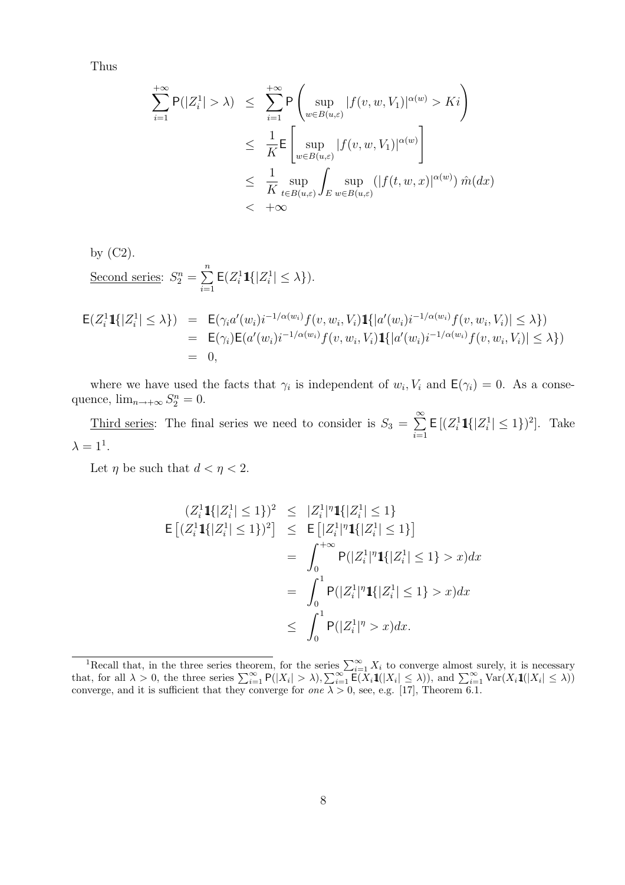Thus

$$
\sum_{i=1}^{+\infty} \mathsf{P}(|Z_i^1| > \lambda) \leq \sum_{i=1}^{+\infty} \mathsf{P}\left(\sup_{w \in B(u,\varepsilon)} |f(v,w,V_1)|^{\alpha(w)} > Ki\right)
$$
  

$$
\leq \frac{1}{K} \mathsf{E}\left[\sup_{w \in B(u,\varepsilon)} |f(v,w,V_1)|^{\alpha(w)}\right]
$$
  

$$
\leq \frac{1}{K} \sup_{t \in B(u,\varepsilon)} \int_{E} \sup_{w \in B(u,\varepsilon)} (|f(t,w,x)|^{\alpha(w)}) \hat{m}(dx)
$$
  

$$
< +\infty
$$

by (C2).  
Second series: 
$$
S_2^n = \sum_{i=1}^n \mathsf{E}(Z_i^1 1\{|Z_i^1| \leq \lambda\}).
$$

$$
\begin{array}{rcl}\n\mathsf{E}(Z_i^1 \mathbf{1}\{|Z_i^1| \leq \lambda\}) & = & \mathsf{E}(\gamma_i a'(w_i) i^{-1/\alpha(w_i)} f(v, w_i, V_i) \mathbf{1}\{|a'(w_i) i^{-1/\alpha(w_i)} f(v, w_i, V_i)| \leq \lambda\}) \\
& = & \mathsf{E}(\gamma_i) \mathsf{E}(a'(w_i) i^{-1/\alpha(w_i)} f(v, w_i, V_i) \mathbf{1}\{|a'(w_i) i^{-1/\alpha(w_i)} f(v, w_i, V_i)| \leq \lambda\}) \\
& = & 0,\n\end{array}
$$

where we have used the facts that  $\gamma_i$  is independent of  $w_i, V_i$  and  $\mathsf{E}(\gamma_i) = 0$ . As a consequence,  $\lim_{n\to+\infty} S_2^n = 0$ .

Third series: The final series we need to consider is  $S_3 =$  $\approx$  $i=1$  $\mathsf{E}\left[ (Z_i^1 \mathbf{1}\{|Z_i^1| \leq 1\})^2 \right]$ . Take  $\lambda = 1^1$ .

Let  $\eta$  be such that  $d < \eta < 2$ .

$$
(Z_i^1 \mathbf{1}\{|Z_i^1| \le 1\})^2 \le |Z_i^1|^{\eta} \mathbf{1}\{|Z_i^1| \le 1\}
$$
  
\n
$$
\mathsf{E}\left[ (Z_i^1 \mathbf{1}\{|Z_i^1| \le 1\})^2 \right] \le \mathsf{E}\left[ |Z_i^1|^{\eta} \mathbf{1}\{|Z_i^1| \le 1\} \right]
$$
  
\n
$$
= \int_0^{+\infty} \mathsf{P}(|Z_i^1|^{\eta} \mathbf{1}\{|Z_i^1| \le 1\} > x) dx
$$
  
\n
$$
= \int_0^1 \mathsf{P}(|Z_i^1|^{\eta} \mathbf{1}\{|Z_i^1| \le 1\} > x) dx
$$
  
\n
$$
\le \int_0^1 \mathsf{P}(|Z_i^1|^{\eta} > x) dx.
$$

<sup>&</sup>lt;sup>1</sup>Recall that, in the three series theorem, for the series  $\sum_{i=1}^{\infty} X_i$  to converge almost surely, it is necessary that, for all  $\lambda > 0$ , the three series  $\sum_{i=1}^{\infty} P(|X_i| > \lambda)$ ,  $\sum_{i=1}^{\infty} E(X_i \mathbf{1}(|X_i| \leq \lambda))$ , a converge, and it is sufficient that they converge for one  $\lambda > 0$ , see, e.g. [17], Theorem 6.1.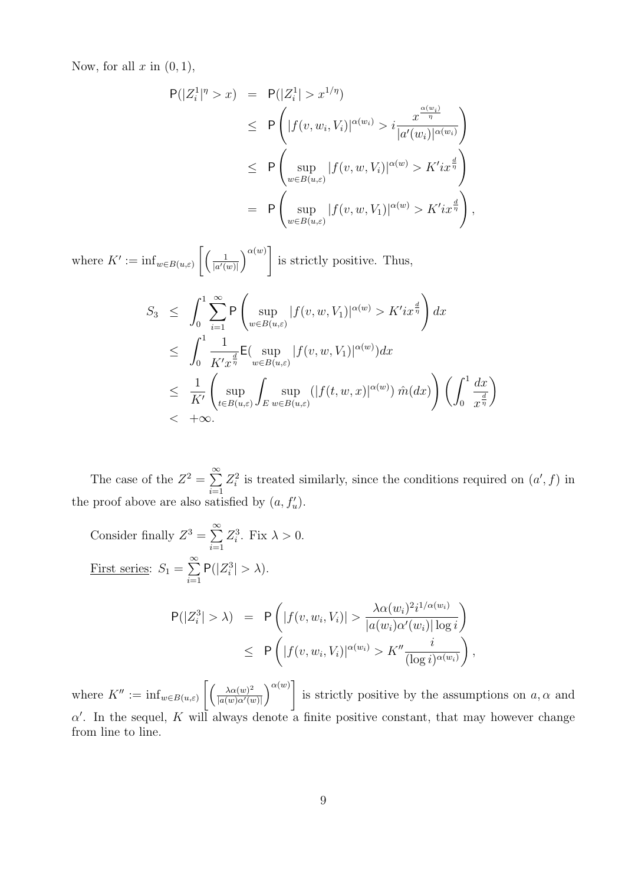Now, for all  $x$  in  $(0, 1)$ ,

$$
P(|Z_i^1|^{\eta} > x) = P(|Z_i^1| > x^{1/\eta})
$$
  
\n
$$
\leq P\left(|f(v, w_i, V_i)|^{\alpha(w_i)} > i \frac{x^{\frac{\alpha(w_i)}{\eta}}}{|a'(w_i)|^{\alpha(w_i)}}\right)
$$
  
\n
$$
\leq P\left(\sup_{w \in B(u,\varepsilon)} |f(v, w, V_i)|^{\alpha(w)} > K'ix^{\frac{d}{\eta}}\right)
$$
  
\n
$$
= P\left(\sup_{w \in B(u,\varepsilon)} |f(v, w, V_1)|^{\alpha(w)} > K'ix^{\frac{d}{\eta}}\right),
$$

where  $K' := \inf_{w \in B(u,\varepsilon)}$  $\begin{bmatrix} 1 \end{bmatrix}$  $|a'(w)|$  $\alpha(w)$ ] is strictly positive. Thus,

$$
S_3 \leq \int_0^1 \sum_{i=1}^{\infty} \mathsf{P}\left(\sup_{w \in B(u,\varepsilon)} |f(v,w,V_1)|^{\alpha(w)} > K'ix^{\frac{d}{\eta}}\right) dx
$$
  
\n
$$
\leq \int_0^1 \frac{1}{K'x^{\frac{d}{\eta}}} \mathsf{E}(\sup_{w \in B(u,\varepsilon)} |f(v,w,V_1)|^{\alpha(w)}) dx
$$
  
\n
$$
\leq \frac{1}{K'} \left(\sup_{t \in B(u,\varepsilon)} \int_E \sup_{w \in B(u,\varepsilon)} (|f(t,w,x)|^{\alpha(w)}) \hat{m}(dx)\right) \left(\int_0^1 \frac{dx}{x^{\frac{d}{\eta}}}\right)
$$
  
\n
$$
< +\infty.
$$

The case of the  $Z^2 = \sum_{n=1}^{\infty}$  $i=1$  $Z_i^2$  is treated similarly, since the conditions required on  $(a', f)$  in the proof above are also satisfied by  $(a, f'_u)$ .

Consider finally 
$$
Z^3 = \sum_{i=1}^{\infty} Z_i^3
$$
. Fix  $\lambda > 0$ .  
\n  
\nFirst series:  $S_1 = \sum_{i=1}^{\infty} P(|Z_i^3| > \lambda)$ .  
\n
$$
P(|Z_i^3| > \lambda) = P\left(|f(v, w_i, V_i)| > \frac{\lambda \alpha(w_i)^2 i^{1/\alpha(w_i)}}{|a(w_i)\alpha'(w_i)| \log i}\right)
$$
\n
$$
\leq P\left(|f(v, w_i, V_i)|^{\alpha(w_i)} > K'' \frac{i}{(\log i)^{\alpha(w_i)}}\right),
$$

where  $K'' := \inf_{w \in B(u,\varepsilon)}$  $\int \int \lambda \alpha(w)^2$  $\overline{|a(w)\alpha'(w)|}$ is strictly positive by the assumptions on  $a, \alpha$  and  $\alpha'$ . In the sequel, K will always denote a finite positive constant, that may however change from line to line.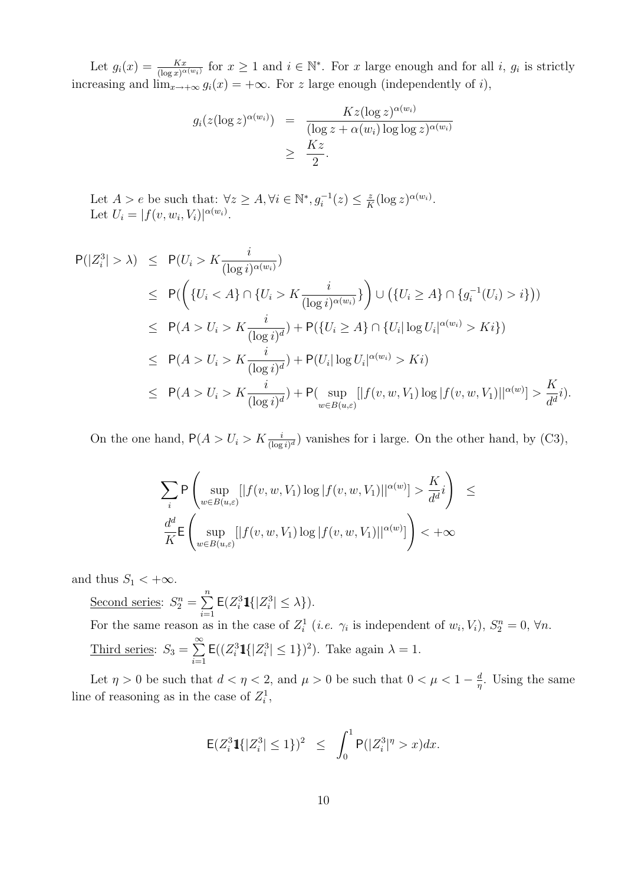Let  $g_i(x) = \frac{Kx}{(\log x)^{\alpha(w_i)}}$  for  $x \ge 1$  and  $i \in \mathbb{N}^*$ . For x large enough and for all i,  $g_i$  is strictly increasing and  $\lim_{x\to+\infty} g_i(x) = +\infty$ . For z large enough (independently of i),

$$
g_i(z(\log z)^{\alpha(w_i)}) = \frac{Kz(\log z)^{\alpha(w_i)}}{(\log z + \alpha(w_i)\log \log z)^{\alpha(w_i)}}
$$
  
 
$$
\geq \frac{Kz}{2}.
$$

Let  $A > e$  be such that:  $\forall z \geq A, \forall i \in \mathbb{N}^*, g_i^{-1}(z) \leq \frac{z}{B}$  $\frac{z}{K}(\log z)^{\alpha(w_i)}.$ Let  $U_i = |f(v, w_i, V_i)|^{\alpha(w_i)}$ .

$$
P(|Z_i^3| > \lambda) \leq P(U_i > K \frac{i}{(\log i)^{\alpha(w_i)}})
$$
  
\n
$$
\leq P(\left(\{U_i < A\} \cap \{U_i > K \frac{i}{(\log i)^{\alpha(w_i)}}\}\right) \cup (\{U_i \geq A\} \cap \{g_i^{-1}(U_i) > i\}))
$$
  
\n
$$
\leq P(A > U_i > K \frac{i}{(\log i)^d}) + P(\{U_i \geq A\} \cap \{U_i | \log U_i | \alpha^{(w_i)} > Ki\})
$$
  
\n
$$
\leq P(A > U_i > K \frac{i}{(\log i)^d}) + P(U_i | \log U_i | \alpha^{(w_i)} > Ki)
$$
  
\n
$$
\leq P(A > U_i > K \frac{i}{(\log i)^d}) + P(\sup_{w \in B(u,\varepsilon)} [|f(v, w, V_1) \log |f(v, w, V_1)| | \alpha^{(w)}| > \frac{K}{d^d} i).
$$

On the one hand,  $P(A > U_i > K \frac{i}{(\log i)^d})$  vanishes for i large. On the other hand, by (C3),

$$
\sum_{i} \mathsf{P}\left(\sup_{w \in B(u,\varepsilon)}[|f(v,w,V_1)\log|f(v,w,V_1)||^{\alpha(w)}] > \frac{K}{d^d}i\right) \leq \frac{d^d}{K} \mathsf{E}\left(\sup_{w \in B(u,\varepsilon)}[|f(v,w,V_1)\log|f(v,w,V_1)||^{\alpha(w)}]\right) < +\infty
$$

and thus  $S_1 < +\infty$ .

Second series:  $S_2^n =$  $\frac{n}{2}$  $i=1$  $\mathsf{E}(Z_i^3 1{\{|Z_i^3| \leq \lambda\}}).$ For the same reason as in the case of  $Z_i^1$  (*i.e.*  $\gamma_i$  is independent of  $w_i, V_i$ ),  $S_2^n = 0$ ,  $\forall n$ . Third series:  $S_3 =$  $\approx$  $i=1$  $\mathsf{E}((Z_i^3 1\{|Z_i^3| \leq 1\})^2)$ . Take again  $\lambda = 1$ .

Let  $\eta > 0$  be such that  $d < \eta < 2$ , and  $\mu > 0$  be such that  $0 < \mu < 1 - \frac{d}{n}$  $\frac{d}{\eta}$ . Using the same line of reasoning as in the case of  $Z_i^1$ ,

$$
\mathsf{E}(Z_i^3\mathbf{1}\{|Z_i^3|\leq 1\})^2 \ \leq \ \int_0^1 \mathsf{P}(|Z_i^3|^{\eta}>x)dx.
$$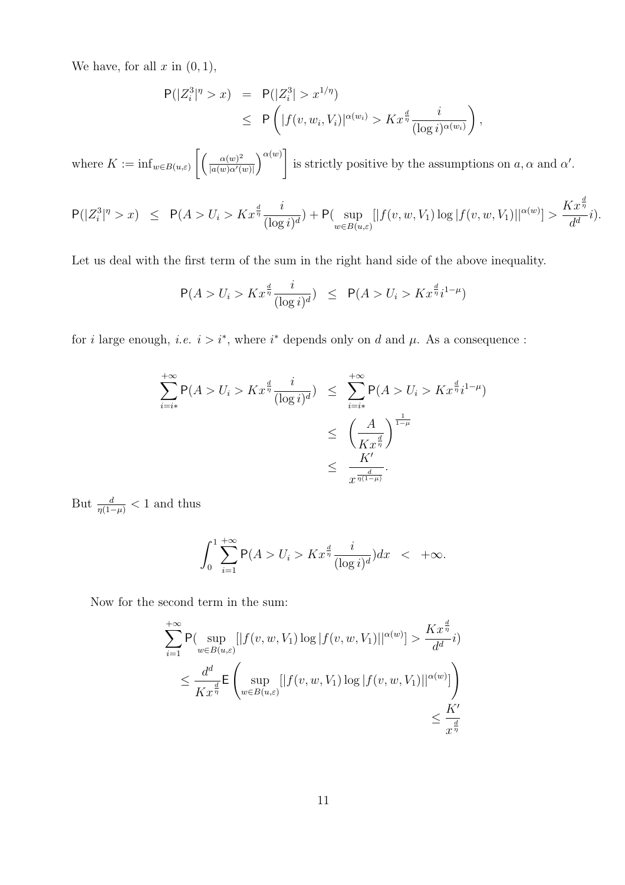We have, for all  $x$  in  $(0, 1)$ ,

$$
P(|Z_i^3|^{\eta} > x) = P(|Z_i^3| > x^{1/\eta})
$$
  
\n
$$
\leq P\left(|f(v, w_i, V_i)|^{\alpha(w_i)} > Kx^{\frac{d}{\eta}}\frac{i}{(\log i)^{\alpha(w_i)}}\right)
$$

,

where  $K := \inf_{w \in B(u,\varepsilon)}$  $\int \int \alpha(w)^2$  $\overline{|a(w)\alpha'(w)|}$  $\alpha(w)$ ] is strictly positive by the assumptions on  $a, \alpha$  and  $\alpha'$ .

$$
\mathsf{P}(|Z_i^3|^{\eta}>x) \;\; \leq \;\; \mathsf{P}(A>U_i>Kx^{\frac{d}{\eta}}\frac{i}{(\log i)^d}) + \mathsf{P}(\sup_{w \in B(u,\varepsilon)}[|f(v,w,V_1)\log |f(v,w,V_1)||^{\alpha(w)}] > \frac{Kx^{\frac{d}{\eta}}}{d^d}i).
$$

Let us deal with the first term of the sum in the right hand side of the above inequality.

$$
P(A > U_i > Kx^{\frac{d}{\eta}}\frac{i}{(\log i)^d}) \le P(A > U_i > Kx^{\frac{d}{\eta}}i^{1-\mu})
$$

for i large enough, i.e.  $i > i^*$ , where  $i^*$  depends only on d and  $\mu$ . As a consequence:

$$
\sum_{i=i*}^{+\infty} P(A > U_i > Kx^{\frac{d}{\eta}} \frac{i}{(\log i)^d}) \leq \sum_{i=i*}^{+\infty} P(A > U_i > Kx^{\frac{d}{\eta}} i^{1-\mu})
$$
  

$$
\leq \left(\frac{A}{Kx^{\frac{d}{\eta}}}\right)^{\frac{1}{1-\mu}}
$$
  

$$
\leq \frac{K'}{x^{\frac{d}{\eta(1-\mu)}}}.
$$

But  $\frac{d}{\eta(1-\mu)} < 1$  and thus

$$
\int_0^1 \sum_{i=1}^{+\infty} \mathsf{P}(A > U_i > Kx^{\frac{d}{\eta}} \frac{i}{(\log i)^d}) dx \quad < \quad +\infty.
$$

Now for the second term in the sum:

$$
\sum_{i=1}^{+\infty} \mathsf{P}(\sup_{w \in B(u,\varepsilon)}[|f(v,w,V_1)\log|f(v,w,V_1)||^{\alpha(w)}] > \frac{Kx^{\frac{d}{\eta}}}{d^d}i)
$$
  

$$
\leq \frac{d^d}{Kx^{\frac{d}{\eta}}} \mathsf{E}\left(\sup_{w \in B(u,\varepsilon)}[|f(v,w,V_1)\log|f(v,w,V_1)||^{\alpha(w)}]\right) \leq \frac{K'}{x^{\frac{d}{\eta}}}
$$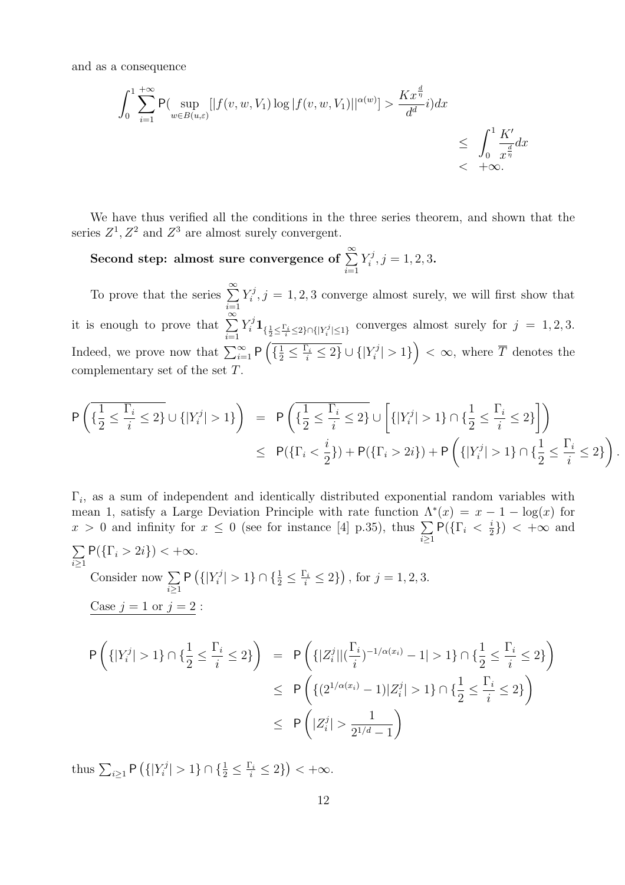and as a consequence

$$
\int_0^1 \sum_{i=1}^{+\infty} \mathsf{P}(\sup_{w \in B(u,\varepsilon)}[|f(v,w,V_1)\log|f(v,w,V_1)||^{\alpha(w)}] > \frac{Kx^{\frac{d}{\eta}}}{d^d}i)dx
$$
  
\$\leq \int\_0^1 \frac{K'}{x^{\frac{d}{\eta}}}dx\$< +\infty.\$

We have thus verified all the conditions in the three series theorem, and shown that the series  $Z^1$ ,  $Z^2$  and  $Z^3$  are almost surely convergent.

Second step: almost sure convergence of  $\sum^{\infty}_{ }$  $i=1$  $Y_i^j$  $j^j, j = 1, 2, 3.$ 

To prove that the series  $\sum_{n=1}^{\infty}$  $i=1$  $Y_i^j$  $\zeta_i^j$ ,  $j = 1, 2, 3$  converge almost surely, we will first show that it is enough to prove that  $\sum_{n=1}^{\infty}$  $i=1$  $Y_i^j \mathbf{1}_{\{\frac{1}{2} \leq \frac{\Gamma_i}{i} \leq 2\} \cap \{|Y_i^j| \leq 1\}}$  converges almost surely for  $j = 1, 2, 3$ . Indeed, we prove now that  $\sum_{i=1}^{i-1} P\left(\frac{1}{2} \leq \frac{\Gamma_i}{i} \leq 2\right) \cup \{Y_i^j\}$  $\frac{1}{2}$   $\frac{2}{i}$   $\frac{2}{j}$   $\frac{1}{i}$   $\frac{1}{i}$   $\frac{1}{i}$   $\frac{1}{i}$  $\left\{ \mathcal{F}_{i}^{j} \right\}$  > 1}  $\left\{ \infty, \text{ where } \overline{T} \text{ denotes the } i$ complementary set of the set T.

$$
\begin{array}{lcl} \displaystyle \mathsf{P}\left(\{\frac{1}{2}\leq \frac{\Gamma_i}{i}\leq 2\}\cup \{|Y_i^j|>1\}\right) & = & \displaystyle \mathsf{P}\left(\{\frac{1}{2}\leq \frac{\Gamma_i}{i}\leq 2\}\cup \left[\{|Y_i^j|>1\}\cap \{\frac{1}{2}\leq \frac{\Gamma_i}{i}\leq 2\}\right]\right) \\ & \leq & \displaystyle \mathsf{P}(\{\Gamma_i<\frac{i}{2}\})+\mathsf{P}(\{\Gamma_i>2i\})+\mathsf{P}\left(\{|Y_i^j|>1\}\cap \{\frac{1}{2}\leq \frac{\Gamma_i}{i}\leq 2\}\right). \end{array}
$$

 $\Gamma_i$ , as a sum of independent and identically distributed exponential random variables with mean 1, satisfy a Large Deviation Principle with rate function  $\Lambda^*(x) = x - 1 - \log(x)$  for mean 1, satisfy a Large Deviation Principle with rate function  $\Lambda$ <br> $x > 0$  and infinity for  $x \leq 0$  (see for instance [4] p.35), thus  $\Sigma$  $i \geq 1$  $P(\{\Gamma_i \, \langle \frac{i}{2}$  $(\frac{i}{2})$  <  $+\infty$  and  $\overline{ }$ 

$$
\sum_{i\geq 1} P(\{\Gamma_i > 2i\}) < +\infty.
$$
  
Consider now  $\sum_{i\geq 1} P(\{|Y_i^j| > 1\} \cap \{\frac{1}{2} \leq \frac{\Gamma_i}{i} \leq 2\})$ , for  $j = 1, 2, 3$ .  

$$
\underline{\text{Case } j = 1 \text{ or } j = 2}:
$$

$$
P(\{|Y_i^j| > 1\} \cap \{\frac{1}{2} \leq \frac{\Gamma_i}{i} \leq 2\}) = P(\{|Z_i^j| | (\frac{\Gamma_i}{i})^{-1/\alpha(x_i)} - 1| > 1\} \cap \{\frac{1}{2} \leq \frac{\Gamma_i}{i} \leq 2\})
$$

$$
\leq P(\{(2^{1/\alpha(x_i)} - 1)|Z_i^j| > 1\} \cap \{\frac{1}{2} \leq \frac{\Gamma_i}{i} \leq 2\})
$$

$$
\leq P(|Z_i^j| > \frac{1}{2^{1/d} - 1})
$$

thus  $\sum_{i\geq 1}$  P ¡  $\{|Y_i^j\}$  $|\zeta_i^j| > 1$   $\} \cap \{\frac{1}{2} \leq \frac{\Gamma_i}{i} \leq 2\}$ ¢  $< +\infty$ .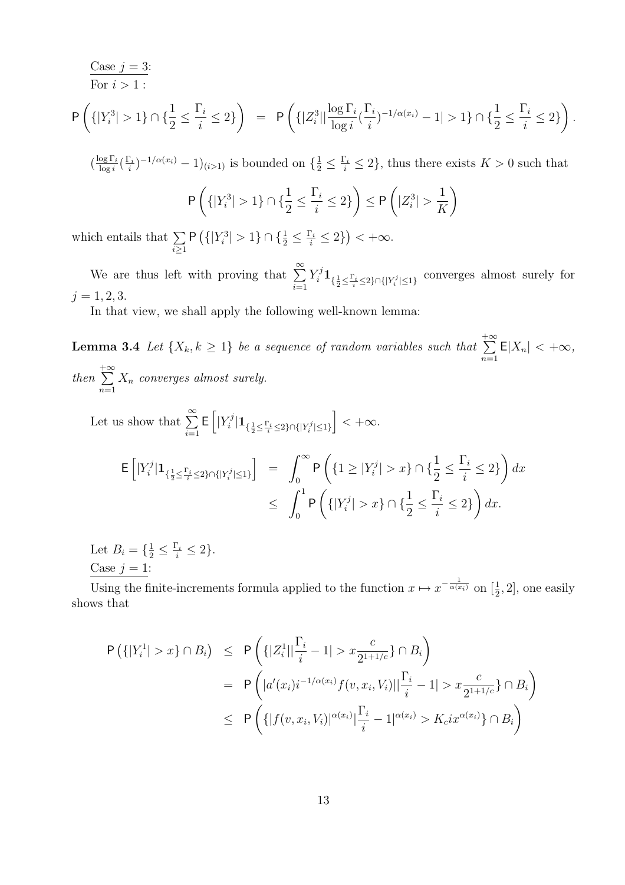Case 
$$
j = 3
$$
:  
\nFor  $i > 1$ :  
\n
$$
\mathsf{P}\left(\{|Y_i^3| > 1\} \cap \{\frac{1}{2} \leq \frac{\Gamma_i}{i} \leq 2\}\right) = \mathsf{P}\left(\{|Z_i^3| |\frac{\log \Gamma_i}{\log i}(\frac{\Gamma_i}{i})^{-1/\alpha(x_i)} - 1| > 1\} \cap \{\frac{1}{2} \leq \frac{\Gamma_i}{i} \leq 2\}\right).
$$

 $\left(\frac{\log \Gamma_i}{\log i}\right)$  $\frac{\log \Gamma_i}{\log i} \Big(\frac{\Gamma_i}{i}$  $(\frac{\Gamma_i}{i})^{-1/\alpha(x_i)} - 1)_{(i>1)}$  is bounded on  $\{\frac{1}{2} \leq \frac{\Gamma_i}{i} \leq 2\}$ , thus there exists  $K > 0$  such that

$$
\mathsf{P}\left(\{|Y_i^3| > 1\} \cap \{\frac{1}{2} \le \frac{\Gamma_i}{i} \le 2\}\right) \le \mathsf{P}\left(|Z_i^3| > \frac{1}{K}\right)
$$

which entails that  $\sum$  $i \geq 1$ P ¡  ${|Y_i^3| > 1} \cap {\frac{1}{2} \leq \frac{\Gamma_i}{i} \leq 2}$ ¢  $< +\infty$ .

We are thus left with proving that  $\sum_{n=1}^{\infty}$  $i=1$  $Y_i^j \mathbf{1}_{\{\frac{1}{2} \leq \frac{\Gamma_i}{i} \leq 2\} \cap \{|Y_i^j| \leq 1\}}$  converges almost surely for  $j = 1, 2, 3.$ 

In that view, we shall apply the following well-known lemma:

**Lemma 3.4** Let  $\{X_k, k \geq 1\}$  be a sequence of random variables such that  $+\infty$  $n=1$  $E|X_n| < +\infty$ , then  $+\infty$  $n=1$  $X_n$  converges almost surely.

Let us show that  $\sum_{n=1}^{\infty}$  $i=1$ E h  $|Y_i^j$  $\frac{r\jmath}{i}|\mathbf{1}_{\{\frac{1}{2}\leq \frac{\Gamma_i}{i}\leq 2\}\cap\{|Y_i^j|\leq 1\}}$ i  $< +\infty$ .

$$
\mathsf{E}\left[|Y_i^j|\mathbf{1}_{\{\frac{1}{2}\leq \frac{\Gamma_i}{i}\leq 2\}\cap\{|Y_i^j|\leq 1\}}\right] = \int_0^\infty \mathsf{P}\left(\{1\geq |Y_i^j|>x\}\cap\{\frac{1}{2}\leq \frac{\Gamma_i}{i}\leq 2\}\right)dx
$$
  

$$
\leq \int_0^1 \mathsf{P}\left(\{|Y_i^j|>x\}\cap\{\frac{1}{2}\leq \frac{\Gamma_i}{i}\leq 2\}\right)dx.
$$

Let  $B_i = \{\frac{1}{2} \leq \frac{\Gamma_i}{i} \leq 2\}.$ Case  $j = 1$ :

Using the finite-increments formula applied to the function  $x \mapsto x^{-\frac{1}{\alpha(x_i)}}$  on  $[\frac{1}{2}, 2]$ , one easily shows that

$$
P\left(\{|Y_i^1| > x\} \cap B_i\right) \le P\left(\{|Z_i^1| \frac{\Gamma_i}{i} - 1| > x \frac{c}{2^{1+1/c}}\} \cap B_i\right)
$$
  
=  $P\left(|a'(x_i)i^{-1/\alpha(x_i)}f(v, x_i, V_i)||\frac{\Gamma_i}{i} - 1| > x \frac{c}{2^{1+1/c}}\} \cap B_i\right)$   
 $\le P\left(\{|f(v, x_i, V_i)|^{\alpha(x_i)}|\frac{\Gamma_i}{i} - 1|^{\alpha(x_i)} > K_c ix^{\alpha(x_i)}\} \cap B_i\right)$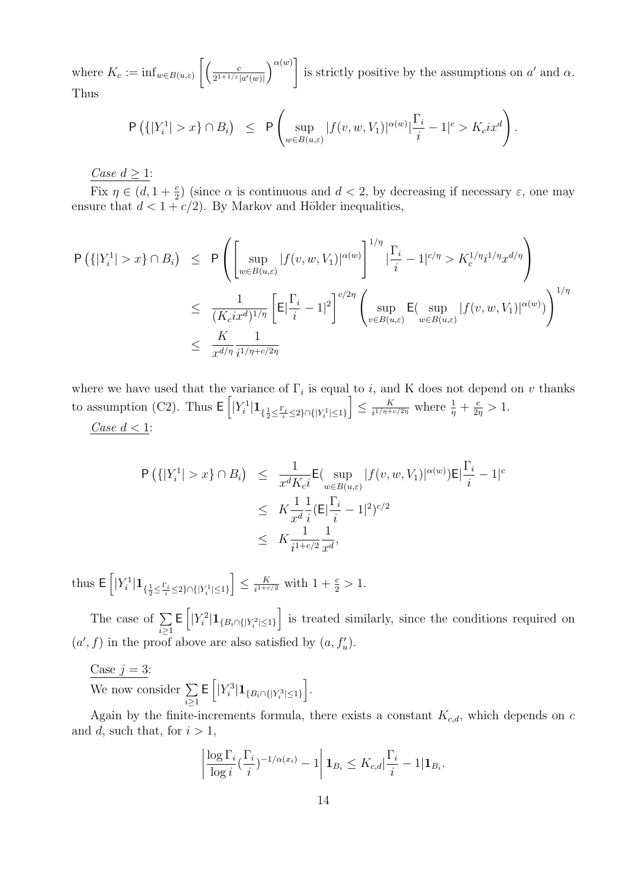where  $K_c := \inf_{w \in B(u,\varepsilon)}$  $\left[ \begin{array}{cc} c \end{array} \right]$  $2^{1+1/c}|a'(w)|$  $\alpha(w)$ ] is strictly positive by the assumptions on  $a'$  and  $\alpha$ . Thus

$$
\mathsf{P}\left(\{|Y_i^1|>x\}\cap B_i\right) \leq \mathsf{P}\left(\sup_{w\in B(u,\varepsilon)}|f(v,w,V_1)|^{\alpha(w)}|\frac{\Gamma_i}{i}-1|^c>K_cix^d\right)
$$

.

Case  $d > 1$ :

Fix  $\eta \in (d, 1 + \frac{c}{2})$  (since  $\alpha$  is continuous and  $d < 2$ , by decreasing if necessary  $\varepsilon$ , one may ensure that  $d < 1 + c/2$ . By Markov and Hölder inequalities,

$$
\begin{array}{lcl} \displaystyle \mathsf{P}\left(\{|Y_i^1|>x\}\cap B_i\right) & \leq & \displaystyle \mathsf{P}\left(\left[\sup_{w\in B(u,\varepsilon)}|f(v,w,V_1)|^{\alpha(w)}\right]^{1/\eta}\lvert \frac{\Gamma_i}{i}-1|^{c/\eta}>K_c^{1/\eta}i^{1/\eta}x^{d/\eta}\right) \\ \\ & \leq & \displaystyle \frac{1}{(K_cix^d)^{1/\eta}}\left[\mathsf{E}\lvert \frac{\Gamma_i}{i}-1\rvert^2\right]^{c/2\eta}\left(\sup_{v\in B(u,\varepsilon)}\mathsf{E}(\sup_{w\in B(u,\varepsilon)}|f(v,w,V_1)|^{\alpha(w)})\right)^{1/\eta} \\ \\ & \leq & \displaystyle \frac{K}{x^{d/\eta}}\frac{1}{i^{1/\eta+c/2\eta}} \end{array}
$$

where we have used that the variance of  $\Gamma_i$  is equal to i, and K does not depend on v thanks to assumption (C2). Thus  $\mathsf{E}\left[|Y_i^1|\mathbf{1}_{\{\frac{1}{2}\leq \frac{\Gamma_i}{i}\leq 2\}\cap\{|Y_i^1|\leq 1\}}\right] \leq \frac{K}{i^{1/\eta+\varepsilon}}$  $\frac{K}{i^{1/\eta+c/2\eta}}$  where  $\frac{1}{\eta}+\frac{c}{2\eta}$  $\frac{c}{2\eta} > 1.$ 

Case 
$$
d < 1
$$
:

$$
P\left(\{|Y_i^1| > x\} \cap B_i\right) \leq \frac{1}{x^d K_c i} E\left(\sup_{w \in B(u,\varepsilon)} |f(v,w,V_1)|^{\alpha(w)}\right) E\left|\frac{\Gamma_i}{i} - 1\right|^c
$$
  

$$
\leq K \frac{1}{x^d} \frac{1}{i} (E\left|\frac{\Gamma_i}{i} - 1\right|^2)^{c/2}
$$
  

$$
\leq K \frac{1}{i^{1+c/2}} \frac{1}{x^d},
$$

thus E h  $\label{eq:bound} |Y_i^1|\mathbf{1}_{\{\frac{1}{2}\leq \frac{\Gamma_i}{i}\leq 2\}\cap\{|Y_i^1|\leq 1\}}$ i  $\leq \frac{K}{\sqrt{1+c}}$  $\frac{K}{i^{1+c/2}}$  with  $1+\frac{c}{2} > 1$ . h i

The case of  $\Sigma$  $i \geq 1$ E  $|Y_i^2|\mathbf{1}_{\{B_i \cap \{|Y_i^2| \leq 1\}}$ is treated similarly, since the conditions required on  $(a', f)$  in the proof above are also satisfied by  $(a, f'_u)$ .

Case  $j = 3$ :

 $\frac{y}{y}$  We now consider  $\sum$  $i \geq 1$ E h  $|Y_i^3|\mathbf{1}_{\{B_i \cap \{|Y_i^3| \leq 1\}}$ i .

Again by the finite-increments formula, there exists a constant  $K_{c,d}$ , which depends on c and d, such that, for  $i > 1$ ,

$$
\left|\frac{\log\Gamma_i}{\log i}(\frac{\Gamma_i}{i})^{-1/\alpha(x_i)}-1\right|{\bf 1}_{B_i}\leq K_{c,d}|\frac{\Gamma_i}{i}-1|{\bf 1}_{B_i}.
$$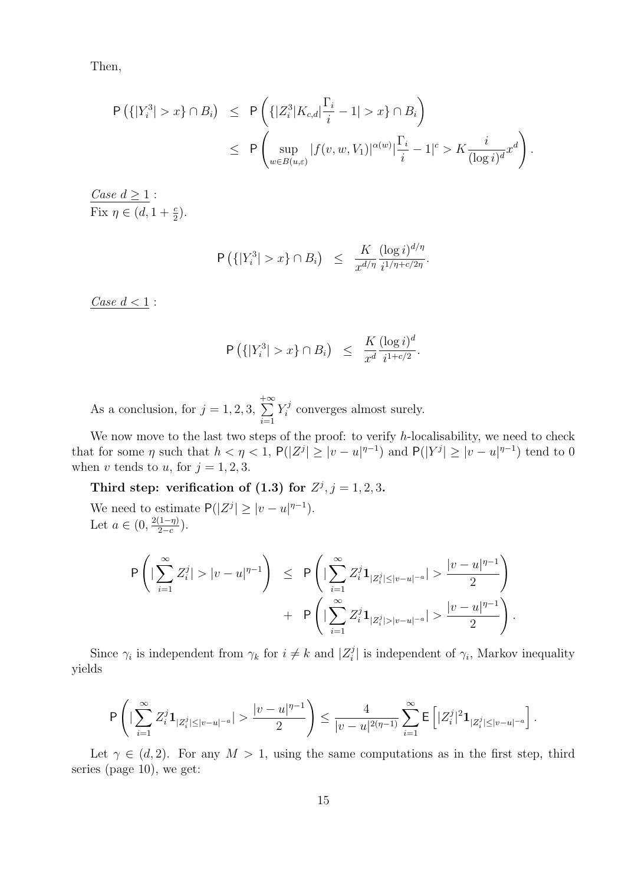Then,

$$
\begin{array}{lcl} \displaystyle \mathsf{P}\left(\{|Y_i^3|>x\}\cap B_i\right) & \leq & \displaystyle \mathsf{P}\left(\{|Z_i^3|K_{c,d}| \frac{\Gamma_i}{i}-1|>x\}\cap B_i\right) \\ \\ & \leq & \displaystyle \mathsf{P}\left(\sup_{w\in B(u,\varepsilon)}|f(v,w,V_1)|^{\alpha(w)} | \frac{\Gamma_i}{i}-1|^c > K\frac{i}{(\log i)^d}x^d\right). \end{array}
$$

Case  $d \geq 1$ : Fix  $\eta \in (d, 1 + \frac{c}{2}).$ 

$$
\mathsf{P}\left(\{|Y_i^3| > x\} \cap B_i\right) \leq \frac{K}{x^{d/\eta}} \frac{(\log i)^{d/\eta}}{i^{1/\eta + c/2\eta}}
$$

.

Case  $d < 1$ :

$$
\mathsf{P}\left(\{|Y_i^3| > x\} \cap B_i\right) \leq \frac{K}{x^d} \frac{(\log i)^d}{i^{1+c/2}}.
$$

As a conclusion, for  $j = 1, 2, 3$ ,  $+\infty$  $i=1$  $Y_i^j$  $\zeta_i^j$  converges almost surely.

We now move to the last two steps of the proof: to verify  $h$ -localisability, we need to check that for some  $\eta$  such that  $h < \eta < 1$ ,  $P(|Z^{j}| \geq |v-u|^{\eta-1})$  and  $P(|Y^{j}| \geq |v-u|^{\eta-1})$  tend to 0 when v tends to u, for  $j = 1, 2, 3$ .

Third step: verification of (1.3) for  $Z^j$ ,  $j = 1, 2, 3$ .

We need to estimate  $P(|Z^j| \geq |v-u|^{\eta-1}).$ Let  $a \in (0, \frac{2(1-\eta)}{2-\epsilon})$  $rac{(1-\eta)}{2-c}$ ).

$$
\begin{array}{lcl} \displaystyle \mathsf{P}\left(|\sum_{i=1}^{\infty}Z^j_i|>|v-u|^{\eta-1}\right) & \leq & \displaystyle \mathsf{P}\left(|\sum_{i=1}^{\infty}Z^j_i\mathbf{1}_{|Z^j_i|\leq |v-u|^{-a}}|>\frac{|v-u|^{\eta-1}}{2}\right) \\ & & + & \displaystyle \mathsf{P}\left(|\sum_{i=1}^{\infty}Z^j_i\mathbf{1}_{|Z^j_i|>|v-u|^{-a}}|>\frac{|v-u|^{\eta-1}}{2}\right). \end{array}
$$

Since  $\gamma_i$  is independent from  $\gamma_k$  for  $i \neq k$  and  $|Z_i^j|$ <sup> $j$ </sup> is independent of  $\gamma_i$ , Markov inequality yields

$$
\mathsf{P}\left(|\sum_{i=1}^\infty Z_i^j\mathbf{1}_{|Z_i^j|\leq |v-u|^{-a}}| > \frac{|v-u|^{\eta-1}}{2}\right) \leq \frac{4}{|v-u|^{2(\eta-1)}}\sum_{i=1}^\infty \mathsf{E}\left[|Z_i^j|^2\mathbf{1}_{|Z_i^j|\leq |v-u|^{-a}}\right].
$$

Let  $\gamma \in (d, 2)$ . For any  $M > 1$ , using the same computations as in the first step, third series (page 10), we get: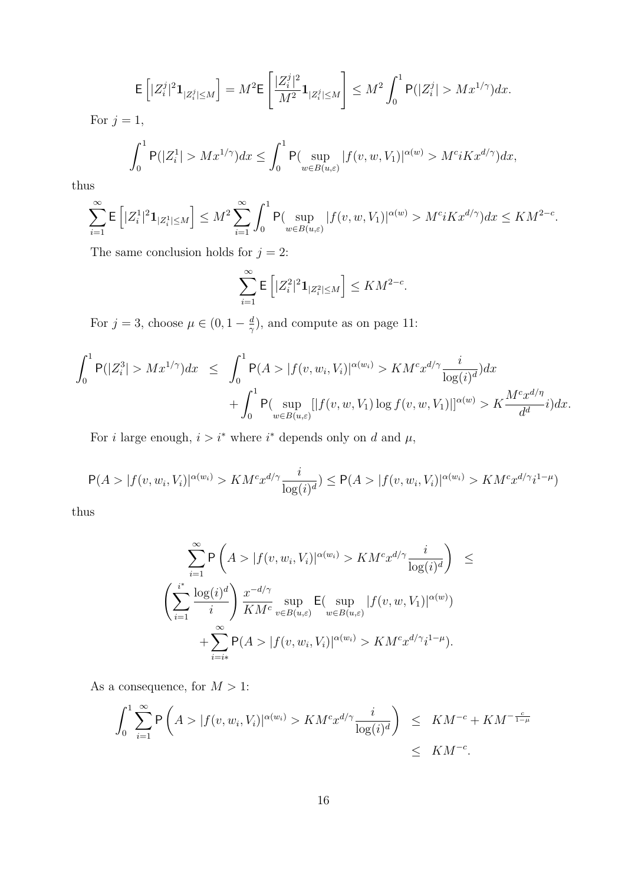$$
{\rm E}\left[|Z_i^j|^2{\bf 1}_{|Z_i^j|\leq M}\right]=M^2{\rm E}\left[\frac{|Z_i^j|^2}{M^2}{\bf 1}_{|Z_i^j|\leq M}\right]\leq M^2\int_0^1{\rm P}(|Z_i^j|>Mx^{1/\gamma})dx.
$$

For  $j = 1$ ,

$$
\int_0^1 \mathsf{P}(|Z_i^1|>Mx^{1/\gamma})dx\leq \int_0^1 \mathsf{P}(\sup_{w\in B(u,\varepsilon)}|f(v,w,V_1)|^{\alpha(w)}>M^ciKx^{d/\gamma})dx,
$$

thus

$$
\sum_{i=1}^\infty \mathsf{E}\left[ |Z_i^1|^2\mathbf{1}_{|Z_i^1|\leq M}\right] \leq M^2\sum_{i=1}^\infty \int_0^1 \mathsf{P}(\sup_{w\in B(u,\varepsilon)}|f(v,w,V_1)|^{\alpha(w)} > M^ciKx^{d/\gamma})dx \leq KM^{2-c}.
$$

The same conclusion holds for  $j=2\mathpunct:$ 

$$
\sum_{i=1}^{\infty} \mathsf{E}\left[ |Z_i^2|^2 \mathbf{1}_{|Z_i^2| \le M} \right] \le KM^{2-c}.
$$

For  $j = 3$ , choose  $\mu \in (0, 1 - \frac{d}{\alpha})$  $\frac{d}{\gamma}$ ), and compute as on page 11:

$$
\begin{array}{lcl} \displaystyle \int_0^1 {\sf P}(|Z_i^3|>M x^{1/\gamma}) dx & \leq & \displaystyle \int_0^1 {\sf P}(A>|f(v,w_i,V_i)|^{\alpha(w_i)}>KM^c x^{d/\gamma} \frac{i}{\log(i)^d}) dx \\ & & \displaystyle + \int_0^1 {\sf P}(\sup_{w \in B(u,\varepsilon)}[|f(v,w,V_1)\log f(v,w,V_1)]|^{\alpha(w)} > K \frac{M^c x^{d/\eta}}{d^d}i) dx. \end{array}
$$

For *i* large enough,  $i > i^*$  where  $i^*$  depends only on *d* and  $\mu$ ,

$$
P(A>|f(v, w_i, V_i)|^{\alpha(w_i)} > KM^c x^{d/\gamma} \frac{i}{\log(i)^d}) \le P(A>|f(v, w_i, V_i)|^{\alpha(w_i)} > KM^c x^{d/\gamma} i^{1-\mu})
$$

thus

$$
\sum_{i=1}^{\infty} \mathsf{P}\left(A > |f(v, w_i, V_i)|^{\alpha(w_i)} > KM^c x^{d/\gamma} \frac{i}{\log(i)^d}\right) \le
$$
  

$$
\left(\sum_{i=1}^{i^*} \frac{\log(i)^d}{i}\right) \frac{x^{-d/\gamma}}{KM^c} \sup_{v \in B(u,\varepsilon)} \mathsf{E}(\sup_{w \in B(u,\varepsilon)} |f(v, w, V_1)|^{\alpha(w)})
$$
  

$$
+ \sum_{i=i*}^{\infty} \mathsf{P}(A > |f(v, w_i, V_i)|^{\alpha(w_i)} > KM^c x^{d/\gamma} i^{1-\mu}).
$$

As a consequence, for  $M > 1$ :

$$
\int_0^1 \sum_{i=1}^\infty \mathsf{P}\left(A > |f(v, w_i, V_i)|^{\alpha(w_i)} > KM^c x^{d/\gamma} \frac{i}{\log(i)^d}\right) \leq KM^{-c} + KM^{-\frac{c}{1-\mu}} \leq KM^{-c}.
$$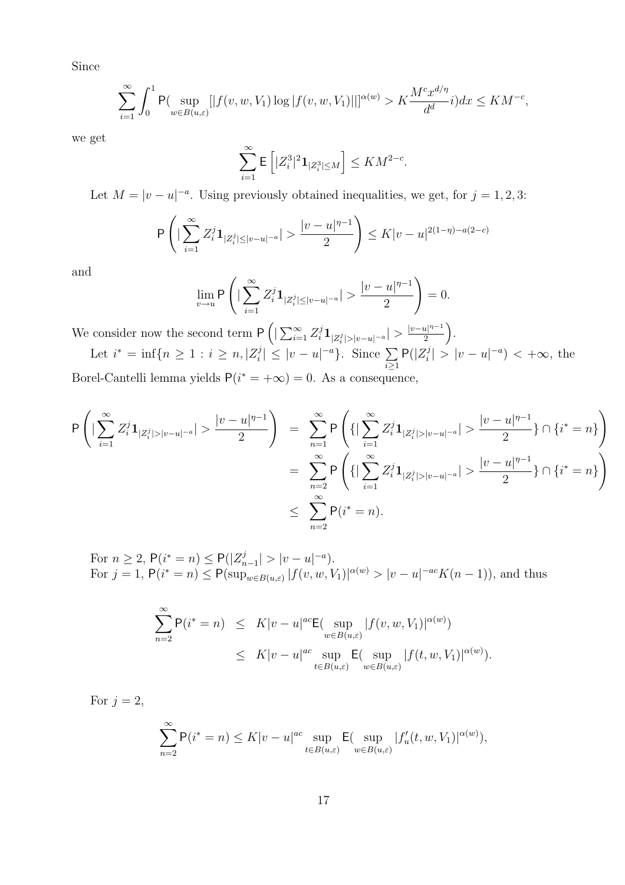Since

$$
\sum_{i=1}^{\infty} \int_{0}^{1} \mathsf{P}(\sup_{w \in B(u,\varepsilon)}[|f(v,w,V_1)\log|f(v,w,V_1)||]^{\alpha(w)} > K\frac{M^c x^{d/\eta}}{d^d} i) dx \leq KM^{-c},
$$

we get

$$
\sum_{i=1}^{\infty} \mathsf{E}\left[ |Z_i^3|^2 \mathbf{1}_{|Z_i^3| \le M} \right] \le KM^{2-c}.
$$

Let  $M = |v - u|^{-a}$ . Using previously obtained inequalities, we get, for  $j = 1, 2, 3$ :

$$
\mathsf{P}\left(|\sum_{i=1}^{\infty}Z_i^j\mathbf{1}_{|Z_i^j|\leq |v-u|^{-a}}| > \frac{|v-u|^{\eta-1}}{2}\right) \leq K|v-u|^{2(1-\eta)-a(2-c)}
$$

and

$$
\lim_{v\to u} \mathsf{P}\left(|\sum_{i=1}^\infty Z_i^j\mathbf{1}_{|Z_i^j|\leq |v-u|^{-a}}|>\frac{|v-u|^{\eta-1}}{2}\right)=0.
$$

We consider now the second term P  $\sum_{i=1}^{\infty}$  $\sum\limits_{i=1}^{\infty}Z_{i}^{j}\textbf{1}_{|Z_{i}^{j}|>|v-u|^{-a}}|>\frac{|v-u|^{\eta-1}}{2}$ 2 .

Let  $i^* = \inf\{n \ge 1 : i \ge n, |Z_i^j| \}$  $\left|\sum_{i=1}^{\lfloor t/2 \rfloor} |v-u|^{-a}\right|$ . Since  $\sum$  $i \geq 1$  $P(|Z_i^j)$  $|v - u|^{-a}$  < + $\infty$ , the

Borel-Cantelli lemma yields  $P(i^* = +\infty) = 0$ . As a consequence,

$$
P\left(|\sum_{i=1}^{\infty} Z_i^j \mathbf{1}_{|Z_i^j|>|v-u|^{-a}}| > \frac{|v-u|^{\eta-1}}{2}\right) = \sum_{n=1}^{\infty} P\left(\{|\sum_{i=1}^{\infty} Z_i^j \mathbf{1}_{|Z_i^j|>|v-u|^{-a}}| > \frac{|v-u|^{\eta-1}}{2}\} \cap \{i^*=n\}\right)
$$
  

$$
= \sum_{n=2}^{\infty} P\left(\{|\sum_{i=1}^{\infty} Z_i^j \mathbf{1}_{|Z_i^j|>|v-u|^{-a}}| > \frac{|v-u|^{\eta-1}}{2}\} \cap \{i^*=n\}\right)
$$
  

$$
\leq \sum_{n=2}^{\infty} P(i^*=n).
$$

For  $n \geq 2$ ,  $P(i^* = n) \leq P(|Z_n^j)$  $|v - u| > |v - u|^{-a}$ . For  $j = 1$ ,  $P(i^* = n) \le P(\sup_{w \in B(u,\varepsilon)} |f(v,w,V_1)|^{\alpha(w)} > |v - u|^{-ac} K(n-1)),$  and thus

$$
\sum_{n=2}^{\infty} \mathsf{P}(i^* = n) \leq K|v - u|^{ac} \mathsf{E}(\sup_{w \in B(u,\varepsilon)} |f(v, w, V_1)|^{\alpha(w)})
$$
  

$$
\leq K|v - u|^{ac} \sup_{t \in B(u,\varepsilon)} \mathsf{E}(\sup_{w \in B(u,\varepsilon)} |f(t, w, V_1)|^{\alpha(w)}).
$$

For  $j = 2$ ,

$$
\sum_{n=2}^{\infty} \mathsf{P}(i^* = n) \le K|v - u|^{ac} \sup_{t \in B(u,\varepsilon)} \mathsf{E}(\sup_{w \in B(u,\varepsilon)} |f'_u(t,w,V_1)|^{\alpha(w)}),
$$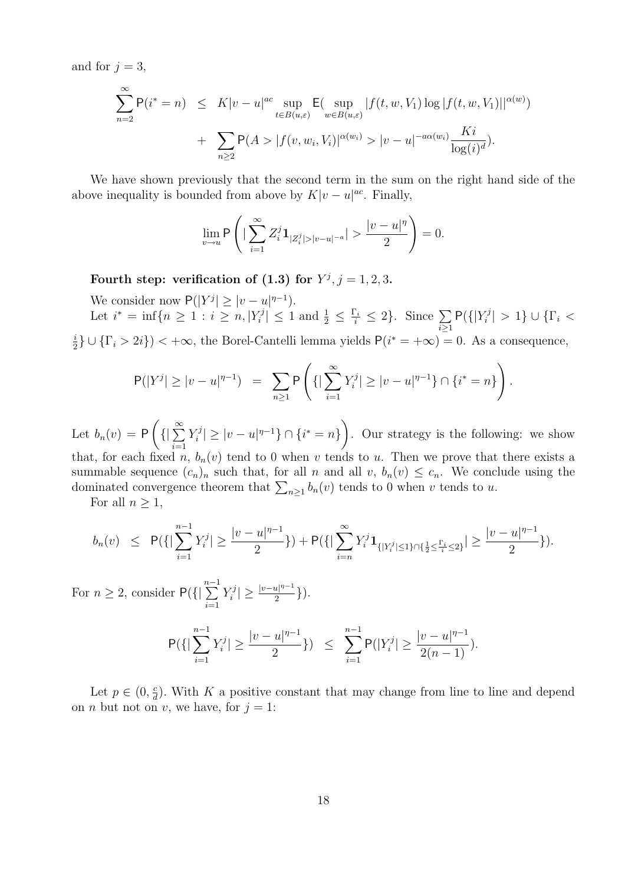and for  $j = 3$ ,

$$
\sum_{n=2}^{\infty} P(i^* = n) \leq K|v - u|^{ac} \sup_{t \in B(u,\varepsilon)} E(\sup_{w \in B(u,\varepsilon)} |f(t, w, V_1) \log |f(t, w, V_1)||^{\alpha(w)}) + \sum_{n \geq 2} P(A > |f(v, w_i, V_i)|^{\alpha(w_i)} > |v - u|^{-a\alpha(w_i)} \frac{Ki}{\log(i)^d}).
$$

We have shown previously that the second term in the sum on the right hand side of the above inequality is bounded from above by  $K|v-u|^{ac}$ . Finally,

$$
\lim_{v\rightarrow u}\mathsf{P}\left(|\sum_{i=1}^{\infty}Z_i^j\mathbf{1}_{|Z_i^j|>|v-u|^{-a}}|>\frac{|v-u|^\eta}{2}\right)=0.
$$

Fourth step: verification of (1.3) for  $Y^j$ ,  $j = 1, 2, 3$ .

We consider now  $P(|Y^j| \geq |v-u|^{\eta-1}).$ 

Let  $i^* = \inf\{n \ge 1 : i \ge n, |Y_i^j| \}$  $\left|\frac{u_1}{i}\right| \leq 1$  and  $\frac{1}{2} \leq \frac{\Gamma_i}{i} \leq 2$ . Since  $\sum_{i\geq 1}$  $P({[}Y_i^j$  $\vert \overline{\zeta_i^j} \vert > 1$ }  $\cup$  { $\Gamma_i$  < i  $\frac{i}{2}$   $\cup$  { $\Gamma_i > 2i$ }) < + $\infty$ , the Borel-Cantelli lemma yields  $P(i^* = +\infty) = 0$ . As a consequence,

$$
\mathsf{P}(|Y^j| \ge |v - u|^{\eta - 1}) = \sum_{n \ge 1} \mathsf{P}\left(\left\{|\sum_{i=1}^{\infty} Y_i^j| \ge |v - u|^{\eta - 1}\right\} \cap \{i^* = n\}\right).
$$

Let  $b_n(v) = P$  $\left(\left\{\right|\sum_{i=1}^{\infty}\right\}$  $i=1$  $Y_i^j$  $|v^j|^j \geq |v - u|^{\eta - 1} \} \cap \{i^* = n\}$  $\mathbf{r}$ . Our strategy is the following: we show that, for each fixed n,  $b_n(v)$  tend to 0 when v tends to u. Then we prove that there exists a summable sequence  $(c_n)_n$  such that, for all n and all v,  $b_n(v) \leq c_n$ . We conclude using the summable sequence  $(c_n)_n$  such that, for an *n* and an *v*,  $o_n(v) \le c_n$ . We conce dominated convergence theorem that  $\sum_{n\geq 1} b_n(v)$  tends to 0 when *v* tends to *u*.

For all  $n \geq 1$ ,

$$
b_n(v) \leq P(\{|\sum_{i=1}^{n-1} Y_i^j| \geq \frac{|v-u|^{\eta-1}}{2}\}) + P(\{|\sum_{i=n}^{\infty} Y_i^j \mathbf{1}_{\{|Y_i^j| \leq 1\} \cap \{\frac{1}{2} \leq \frac{\Gamma_i}{i} \leq 2\}}| \geq \frac{|v-u|^{\eta-1}}{2}\}).
$$

For  $n \geq 2$ , consider  $P({\{$  $\frac{n-1}{n}$  $i=1$  $Y_i^j$  $\vert \frac{rj}{i} \vert \geq \frac{\vert v-u \vert^{\eta-1}}{2}$  $\frac{u|^{n-1}}{2}\big\}\big).$ 

$$
\mathsf{P}(\{|\sum_{i=1}^{n-1}Y_i^j|\ge \frac{|v-u|^{\eta-1}}{2}\})\ \ \leq \ \ \sum_{i=1}^{n-1}\mathsf{P}(|Y_i^j|\ge \frac{|v-u|^{\eta-1}}{2(n-1)}).
$$

Let  $p \in (0, \frac{c}{d})$  $\frac{c}{d}$ ). With K a positive constant that may change from line to line and depend on *n* but not on *v*, we have, for  $j = 1$ :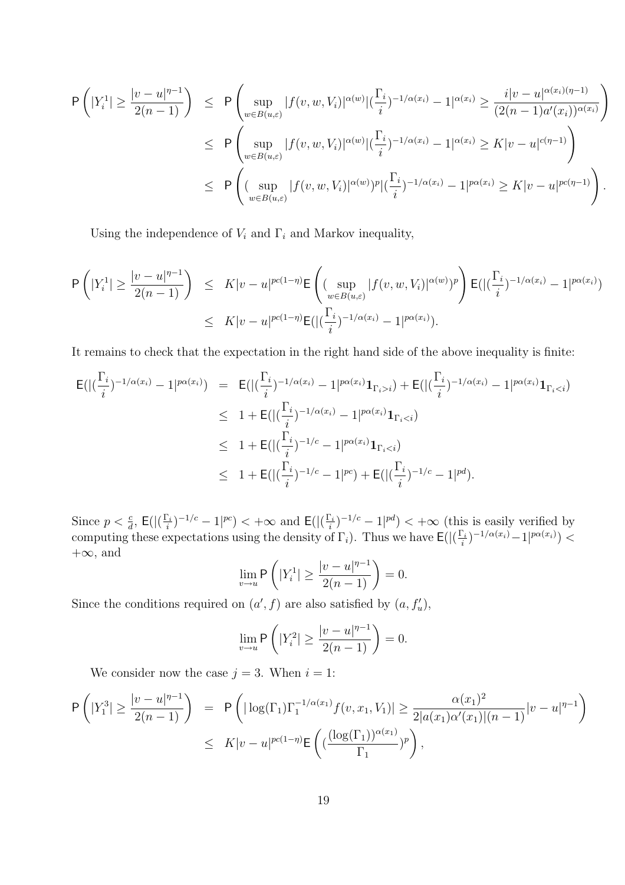$$
\begin{split} \mathsf{P}\left(|Y_{i}^{1}| \geq \frac{|v - u|^{\eta - 1}}{2(n - 1)}\right) &\leq \mathsf{P}\left(\sup_{w \in B(u,\varepsilon)} |f(v, w, V_{i})|^{\alpha(w)} |(\frac{\Gamma_{i}}{i})^{-1/\alpha(x_{i})} - 1|^{\alpha(x_{i})} \geq \frac{i|v - u|^{\alpha(x_{i})(\eta - 1)}}{(2(n - 1)a'(x_{i}))^{\alpha(x_{i})}}\right) \\ &\leq \mathsf{P}\left(\sup_{w \in B(u,\varepsilon)} |f(v, w, V_{i})|^{\alpha(w)} |(\frac{\Gamma_{i}}{i})^{-1/\alpha(x_{i})} - 1|^{\alpha(x_{i})} \geq K|v - u|^{c(\eta - 1)}\right) \\ &\leq \mathsf{P}\left((\sup_{w \in B(u,\varepsilon)} |f(v, w, V_{i})|^{\alpha(w)})^{p} |(\frac{\Gamma_{i}}{i})^{-1/\alpha(x_{i})} - 1|^{p\alpha(x_{i})} \geq K|v - u|^{p\alpha(\eta - 1)}\right). \end{split}
$$

Using the independence of  $V_i$  and  $\Gamma_i$  and Markov inequality,

$$
\mathsf{P}\left(|Y_i^1| \geq \frac{|v - u|^{\eta - 1}}{2(n - 1)}\right) \leq K|v - u|^{pc(1 - \eta)} \mathsf{E}\left((\sup_{w \in B(u,\varepsilon)} |f(v, w, V_i)|^{\alpha(w)})^p\right) \mathsf{E}\left(|(\frac{\Gamma_i}{i})^{-1/\alpha(x_i)} - 1|^{p\alpha(x_i)}\right) \leq K|v - u|^{pc(1 - \eta)} \mathsf{E}\left(|(\frac{\Gamma_i}{i})^{-1/\alpha(x_i)} - 1|^{p\alpha(x_i)}\right).
$$

It remains to check that the expectation in the right hand side of the above inequality is finite:

$$
E(|(\frac{\Gamma_i}{i})^{-1/\alpha(x_i)} - 1|^{p\alpha(x_i)}) = E(|(\frac{\Gamma_i}{i})^{-1/\alpha(x_i)} - 1|^{p\alpha(x_i)}\mathbf{1}_{\Gamma_i > i}) + E(|(\frac{\Gamma_i}{i})^{-1/\alpha(x_i)} - 1|^{p\alpha(x_i)}\mathbf{1}_{\Gamma_i < i})
$$
  
\n
$$
\leq 1 + E(|(\frac{\Gamma_i}{i})^{-1/\alpha(x_i)} - 1|^{p\alpha(x_i)}\mathbf{1}_{\Gamma_i < i})
$$
  
\n
$$
\leq 1 + E(|(\frac{\Gamma_i}{i})^{-1/c} - 1|^{p\alpha(x_i)}\mathbf{1}_{\Gamma_i < i})
$$
  
\n
$$
\leq 1 + E(|(\frac{\Gamma_i}{i})^{-1/c} - 1|^{p c}) + E(|(\frac{\Gamma_i}{i})^{-1/c} - 1|^{p d}).
$$

Since  $p < \frac{c}{d}$ ,  $\mathsf{E}(|(\frac{\Gamma_i}{i})|)$  $\frac{\sum_i}{i}$ )<sup>-1/c</sup> - 1|<sup>pc</sup>) < + $\infty$  and  $\mathsf{E}(|(\frac{\Gamma_i}{i})|$  $(\frac{\sum_i}{i})^{-1/c} - 1|^{pd}) < +\infty$  (this is easily verified by computing these expectations using the density of  $\Gamma_i$ ). Thus we have  $\mathsf{E}(|\Gamma_i)$  $\sum_{i=1}^{n} 1 - \frac{1}{\alpha(x_i)} - 1 \cdot p^{\alpha(x_i)} <$  $+\infty$ , and  $\overline{a}$ 

$$
\lim_{v \to u} \mathsf{P}\left(|Y_i^1| \ge \frac{|v - u|^{\eta - 1}}{2(n - 1)}\right) = 0.
$$

Since the conditions required on  $(a', f)$  are also satisfied by  $(a, f'_u)$ ,

$$
\lim_{v \to u} \mathsf{P}\left(|Y_i^2| \ge \frac{|v - u|^{\eta - 1}}{2(n - 1)}\right) = 0.
$$

We consider now the case  $j = 3$ . When  $i = 1$ :

$$
\mathsf{P}\left(|Y_1^3| \ge \frac{|v - u|^{\eta - 1}}{2(n-1)}\right) = \mathsf{P}\left(|\log(\Gamma_1)\Gamma_1^{-1/\alpha(x_1)}f(v, x_1, V_1)| \ge \frac{\alpha(x_1)^2}{2|a(x_1)\alpha'(x_1)|(n-1)}|v - u|^{\eta - 1}\right) \le K|v - u|^{pc(1-\eta)} \mathsf{E}\left((\frac{(\log(\Gamma_1))^{\alpha(x_1)}}{\Gamma_1})^p\right),
$$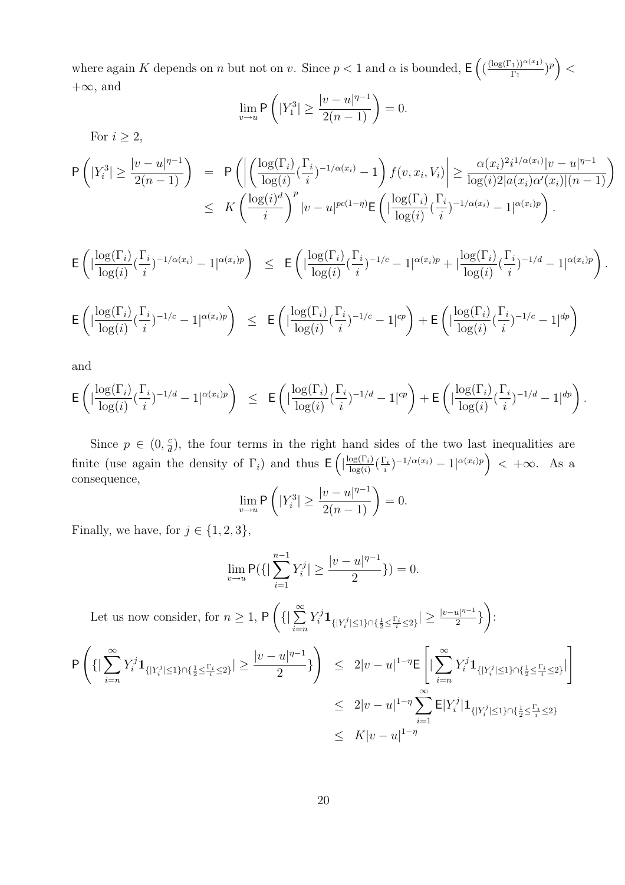where again K depends on n but not on v. Since  $p < 1$  and  $\alpha$  is bounded, E  $\left(\frac{(\log(\Gamma_1))^{\alpha(x_1)}}{\Gamma}\right)$  $\frac{\Gamma_1\left(\frac{\gamma_1}{\gamma_1}\right)^{\alpha(x_1)}}{\Gamma_1}$  $\lt$  $+\infty$ , and  $\overline{a}$ 

 $\overline{a}$ 

´

.

$$
\lim_{v \to u} \mathsf{P}\left(|Y_1^3| \ge \frac{|v - u|^{\eta - 1}}{2(n - 1)}\right) = 0.
$$

For  $i \geq 2$ ,

$$
\begin{array}{l} {\sf P}\left(|Y_i^3|\geq \frac{|v-u|^{\eta-1}}{2(n-1)}\right) \end{array} \; = \; \; {\sf P}\left(\left|\left(\frac{\log(\Gamma_i)}{\log(i)}(\frac{\Gamma_i}{i})^{-1/\alpha(x_i)}-1\right)f(v,x_i,V_i)\right|\geq \frac{\alpha(x_i)^2i^{1/\alpha(x_i)}|v-u|^{\eta-1}}{\log(i)2|a(x_i)\alpha'(x_i)|(n-1)}\right)\\ \leq \;\; K\left(\frac{\log(i)^d}{i}\right)^p |v-u|^{pc(1-\eta)} {\sf E}\left(|\frac{\log(\Gamma_i)}{\log(i)}(\frac{\Gamma_i}{i})^{-1/\alpha(x_i)}-1|^{\alpha(x_i)p}\right).\end{array}
$$

$$
\mathsf{E}\left(|\frac{\log(\Gamma_i)}{\log(i)}(\frac{\Gamma_i}{i})^{-1/\alpha(x_i)}-1|^{\alpha(x_i)p}\right) \ \leq \ \mathsf{E}\left(|\frac{\log(\Gamma_i)}{\log(i)}(\frac{\Gamma_i}{i})^{-1/c}-1|^{\alpha(x_i)p}+|\frac{\log(\Gamma_i)}{\log(i)}(\frac{\Gamma_i}{i})^{-1/d}-1|^{\alpha(x_i)p}\right).
$$

$$
\mathsf{E}\left(|\frac{\log(\Gamma_i)}{\log(i)}(\frac{\Gamma_i}{i})^{-1/c}-1|^{\alpha(x_i)p}\right) \leq \mathsf{E}\left(|\frac{\log(\Gamma_i)}{\log(i)}(\frac{\Gamma_i}{i})^{-1/c}-1|^{cp}\right) + \mathsf{E}\left(|\frac{\log(\Gamma_i)}{\log(i)}(\frac{\Gamma_i}{i})^{-1/c}-1|^{dp}\right)
$$

and

$$
\mathsf{E}\left(|\frac{\log(\Gamma_i)}{\log(i)}(\frac{\Gamma_i}{i})^{-1/d}-1|^{\alpha(x_i)p}\right) \leq \mathsf{E}\left(|\frac{\log(\Gamma_i)}{\log(i)}(\frac{\Gamma_i}{i})^{-1/d}-1|^{cp}\right) + \mathsf{E}\left(|\frac{\log(\Gamma_i)}{\log(i)}(\frac{\Gamma_i}{i})^{-1/d}-1|^{dp}\right)
$$

Since  $p \in (0, \frac{c}{d})$  $\frac{c}{d}$ ), the four terms in the right hand sides of the two last inequalities are finite (use again the density of  $\Gamma_i$ ) and thus  $\mathsf{E}\left( \frac{|\log(\Gamma_i)|}{\log(i)}\right)$  $\frac{\log(\Gamma_i)}{\log(i)}$  (  $\frac{\Gamma_i}{i}$  $\left(\frac{\sum_i}{i}\right)^{-1/\alpha(x_i)} - 1\left|^{\alpha(x_i)p}\right) < +\infty$ . As a consequence,  $\overline{a}$ 

$$
\lim_{v \to u} \mathsf{P}\left(|Y_i^3| \ge \frac{|v - u|^{\eta - 1}}{2(n - 1)}\right) = 0.
$$

Finally, we have, for  $j \in \{1, 2, 3\}$ ,

$$
\lim_{v \to u} \mathsf{P}(\{|\sum_{i=1}^{n-1} Y_i^j| \ge \frac{|v - u|^{\eta - 1}}{2}\}) = 0.
$$

Let us now consider, for  $n \geq 1$ , P  $\left(\left\{\right|\sum_{i=1}^{\infty}\right\}$  $i = n$  $Y_i^j \mathbf{1}_{ \{ |Y_i^j| \leq 1 \} \cap \{ \frac{1}{2} \leq \frac{\Gamma_i}{i} \leq 2 \} } | \geq \frac{|v - u|^{\eta - 1}}{2}$  $rac{u|^{n-1}}{2}$  $\mathbf{r}$ :

$$
\begin{array}{lcl} \displaystyle \mathsf{P}\left(\{|\sum_{i=n}^{\infty}Y_i^j\mathbf{1}_{\{|Y_i^j|\leq 1\}\cap\{\frac{1}{2}\leq \frac{\Gamma_i}{i}\leq 2\}}|\geq \frac{|v-u|^{\eta-1}}{2}\}\right) & \leq & 2|v-u|^{1-\eta}\mathsf{E}\left[|\sum_{i=n}^{\infty}Y_i^j\mathbf{1}_{\{|Y_i^j|\leq 1\}\cap\{\frac{1}{2}\leq \frac{\Gamma_i}{i}\leq 2\}}|\right] \\ & \leq & 2|v-u|^{1-\eta}\sum_{i=1}^{\infty}\mathsf{E}|Y_i^j|\mathbf{1}_{\{|Y_i^j|\leq 1\}\cap\{\frac{1}{2}\leq \frac{\Gamma_i}{i}\leq 2\}}\\ & \leq & K|v-u|^{1-\eta} \end{array}
$$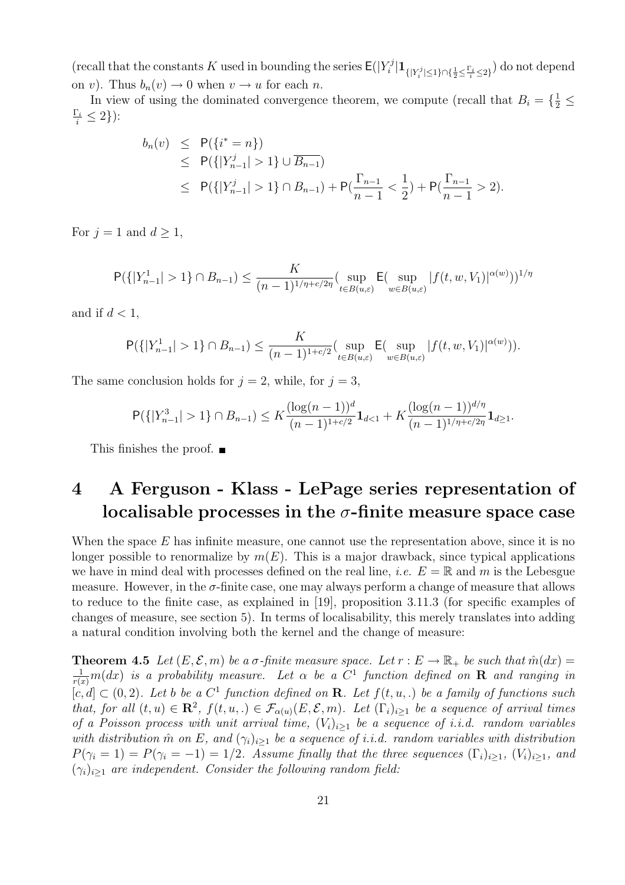(recall that the constants K used in bounding the series  $E(|Y_i^j)$  $\frac{\mathcal{N}^j}{i}|\mathbf{1}_{\{|Y_i^j|\leq 1\}\cap \{\frac{1}{2}\leq \frac{\Gamma_i}{i}\leq 2\}})$  do not depend on v). Thus  $b_n(v) \to 0$  when  $v \to u$  for each n.

In view of using the dominated convergence theorem, we compute (recall that  $B_i = \{\frac{1}{2} \leq$  $\frac{\Gamma_i}{i} \leq 2\}$ ):

$$
b_n(v) \le P({i^* = n})
$$
  
\n
$$
\le P({|Y_{n-1}^j| > 1} \cup \overline{B_{n-1}})
$$
  
\n
$$
\le P({|Y_{n-1}^j| > 1} \cap B_{n-1}) + P(\frac{\Gamma_{n-1}}{n-1} < \frac{1}{2}) + P(\frac{\Gamma_{n-1}}{n-1} > 2).
$$

For  $j = 1$  and  $d \geq 1$ ,

$$
\mathsf{P}(\{|Y_{n-1}^1| > 1\} \cap B_{n-1}) \le \frac{K}{(n-1)^{1/\eta + c/2\eta}} \left(\sup_{t \in B(u,\varepsilon)} \mathsf{E}(\sup_{w \in B(u,\varepsilon)} |f(t,w,V_1)|^{\alpha(w)}\right)^{1/\eta}
$$

and if  $d < 1$ ,

$$
\mathsf{P}(\{|Y_{n-1}^1| > 1\} \cap B_{n-1}) \le \frac{K}{(n-1)^{1+c/2}} (\sup_{t \in B(u,\varepsilon)} \mathsf{E}(\sup_{w \in B(u,\varepsilon)} |f(t,w,V_1)|^{\alpha(w)})).
$$

The same conclusion holds for  $j = 2$ , while, for  $j = 3$ ,

$$
\mathsf{P}(\{|Y_{n-1}^3| > 1\} \cap B_{n-1}) \le K \frac{(\log(n-1))^d}{(n-1)^{1+c/2}} \mathbf{1}_{d < 1} + K \frac{(\log(n-1))^{d/\eta}}{(n-1)^{1/\eta+c/2\eta}} \mathbf{1}_{d \ge 1}.
$$

This finishes the proof.  $\blacksquare$ 

## 4 A Ferguson - Klass - LePage series representation of localisable processes in the  $\sigma$ -finite measure space case

When the space  $E$  has infinite measure, one cannot use the representation above, since it is no longer possible to renormalize by  $m(E)$ . This is a major drawback, since typical applications we have in mind deal with processes defined on the real line, *i.e.*  $E = \mathbb{R}$  and m is the Lebesgue measure. However, in the σ-finite case, one may always perform a change of measure that allows to reduce to the finite case, as explained in [19], proposition 3.11.3 (for specific examples of changes of measure, see section 5). In terms of localisability, this merely translates into adding a natural condition involving both the kernel and the change of measure:

**Theorem 4.5** Let  $(E, \mathcal{E}, m)$  be a  $\sigma$ -finite measure space. Let  $r : E \to \mathbb{R}_+$  be such that  $\hat{m}(dx) =$  $\frac{1}{r(x)}m(dx)$  is a probability measure. Let  $\alpha$  be a  $C^1$  function defined on  ${\bf R}$  and ranging in  $[c, d] \subset (0, 2)$ . Let b be a  $C^1$  function defined on **R**. Let  $f(t, u, \cdot)$  be a family of functions such that, for all  $(t, u) \in \mathbb{R}^2$ ,  $f(t, u, u) \in \mathcal{F}_{\alpha(u)}(E, \mathcal{E}, m)$ . Let  $(\Gamma_i)_{i \geq 1}$  be a sequence of arrival times of a Poisson process with unit arrival time,  $(V_i)_{i>1}$  be a sequence of i.i.d. random variables with distribution  $\hat{m}$  on E, and  $(\gamma_i)_{i\geq 1}$  be a sequence of i.i.d. random variables with distribution  $P(\gamma_i = 1) = P(\gamma_i = -1) = 1/2$ . Assume finally that the three sequences  $(\Gamma_i)_{i \geq 1}$ ,  $(V_i)_{i \geq 1}$ , and  $(\gamma_i)_{i\geq 1}$  are independent. Consider the following random field: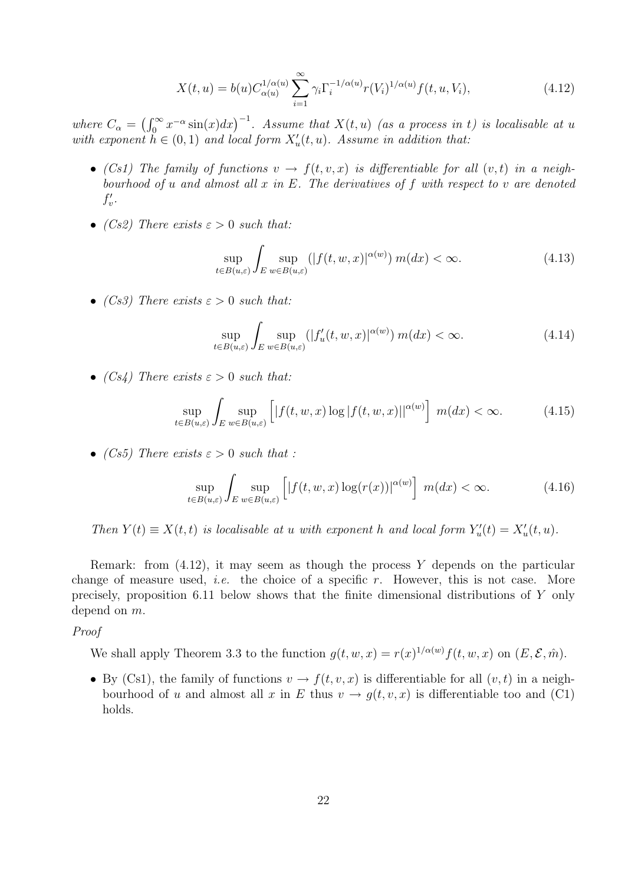$$
X(t, u) = b(u)C_{\alpha(u)}^{1/\alpha(u)} \sum_{i=1}^{\infty} \gamma_i \Gamma_i^{-1/\alpha(u)} r(V_i)^{1/\alpha(u)} f(t, u, V_i), \qquad (4.12)
$$

where  $C_{\alpha} =$  $\sqrt{r^{\infty}}$  $\int_0^\infty x^{-\alpha} \sin(x) dx$ <sup>-1</sup>. Assume that  $X(t, u)$  (as a process in t) is localisable at u with exponent  $h \in (0,1)$  and local form  $X'_u(t, u)$ . Assume in addition that:

- (Cs1) The family of functions  $v \to f(t, v, x)$  is differentiable for all  $(v, t)$  in a neighbourhood of u and almost all  $x$  in  $E$ . The derivatives of  $f$  with respect to  $v$  are denoted  $f'_v$ .
- (Cs2) There exists  $\varepsilon > 0$  such that:

$$
\sup_{t \in B(u,\varepsilon)} \int_{E} \sup_{w \in B(u,\varepsilon)} (|f(t,w,x)|^{\alpha(w)}) m(dx) < \infty.
$$
 (4.13)

• (Cs3) There exists  $\varepsilon > 0$  such that:

$$
\sup_{t \in B(u,\varepsilon)} \int_{E} \sup_{w \in B(u,\varepsilon)} (|f'_u(t,w,x)|^{\alpha(w)}) m(dx) < \infty.
$$
 (4.14)

• (Cs4) There exists  $\varepsilon > 0$  such that:

$$
\sup_{t \in B(u,\varepsilon)} \int_{E} \sup_{w \in B(u,\varepsilon)} \left[ |f(t,w,x)\log|f(t,w,x)||^{\alpha(w)} \right] m(dx) < \infty.
$$
 (4.15)

• (Cs5) There exists  $\varepsilon > 0$  such that :

$$
\sup_{t \in B(u,\varepsilon)} \int_{E} \sup_{w \in B(u,\varepsilon)} \left[ |f(t,w,x)\log(r(x))|^{\alpha(w)} \right] m(dx) < \infty.
$$
 (4.16)

Then  $Y(t) \equiv X(t, t)$  is localisable at u with exponent h and local form  $Y_u'(t) = X_u'(t, u)$ .

Remark: from  $(4.12)$ , it may seem as though the process Y depends on the particular change of measure used, *i.e.* the choice of a specific r. However, this is not case. More precisely, proposition 6.11 below shows that the finite dimensional distributions of Y only depend on m.

#### Proof

We shall apply Theorem 3.3 to the function  $g(t, w, x) = r(x)^{1/\alpha(w)} f(t, w, x)$  on  $(E, \mathcal{E}, \hat{m})$ .

• By (Cs1), the family of functions  $v \to f(t, v, x)$  is differentiable for all  $(v, t)$  in a neighbourhood of u and almost all x in E thus  $v \to g(t, v, x)$  is differentiable too and (C1) holds.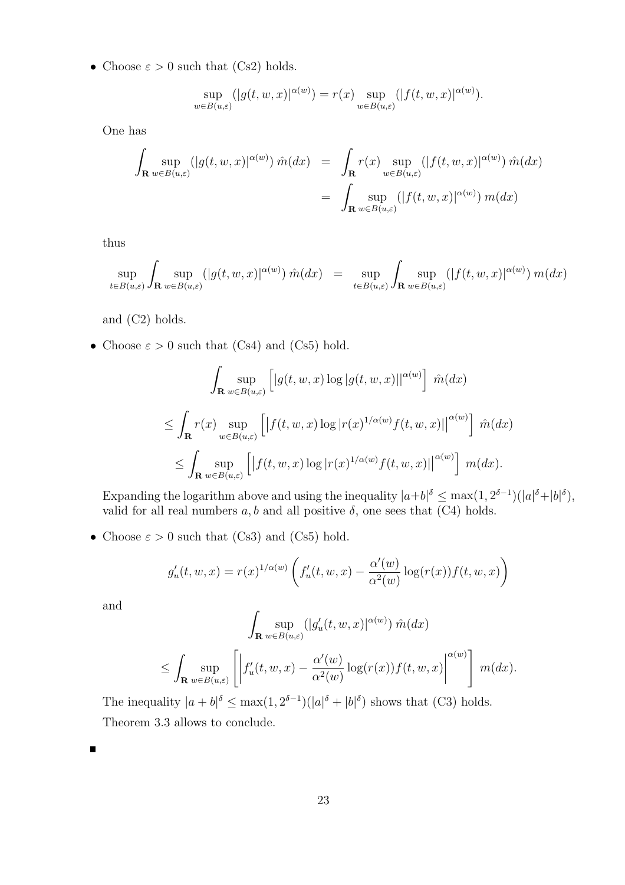• Choose  $\varepsilon > 0$  such that (Cs2) holds.

$$
\sup_{w \in B(u,\varepsilon)} (|g(t,w,x)|^{\alpha(w)}) = r(x) \sup_{w \in B(u,\varepsilon)} (|f(t,w,x)|^{\alpha(w)}).
$$

One has

$$
\int_{\mathbf{R}} \sup_{w \in B(u,\varepsilon)} (|g(t,w,x)|^{\alpha(w)}) \hat{m}(dx) = \int_{\mathbf{R}} r(x) \sup_{w \in B(u,\varepsilon)} (|f(t,w,x)|^{\alpha(w)}) \hat{m}(dx)
$$
\n
$$
= \int_{\mathbf{R}} \sup_{w \in B(u,\varepsilon)} (|f(t,w,x)|^{\alpha(w)}) m(dx)
$$

thus

$$
\sup_{t\in B(u,\varepsilon)}\int_{\mathbf{R}}\sup_{w\in B(u,\varepsilon)}(|g(t,w,x)|^{\alpha(w)})\,\hat{m}(dx) \;\; = \;\; \sup_{t\in B(u,\varepsilon)}\int_{\mathbf{R}}\sup_{w\in B(u,\varepsilon)}(|f(t,w,x)|^{\alpha(w)})\,m(dx)
$$

and (C2) holds.

• Choose  $\varepsilon > 0$  such that (Cs4) and (Cs5) hold.

$$
\int_{\mathbf{R}} \sup_{w \in B(u,\varepsilon)} \left[ |g(t,w,x) \log |g(t,w,x)||^{\alpha(w)} \right] \hat{m}(dx)
$$
\n
$$
\leq \int_{\mathbf{R}} r(x) \sup_{w \in B(u,\varepsilon)} \left[ \left| f(t,w,x) \log |r(x)^{1/\alpha(w)} f(t,w,x)| \right|^{\alpha(w)} \right] \hat{m}(dx)
$$
\n
$$
\leq \int_{\mathbf{R}} \sup_{w \in B(u,\varepsilon)} \left[ \left| f(t,w,x) \log |r(x)^{1/\alpha(w)} f(t,w,x)| \right|^{\alpha(w)} \right] m(dx).
$$

Expanding the logarithm above and using the inequality  $|a+b|^{\delta} \leq \max(1, 2^{\delta-1}) (|a|^{\delta} + |b|^{\delta}),$ valid for all real numbers  $a, b$  and all positive  $\delta$ , one sees that (C4) holds.

• Choose  $\varepsilon > 0$  such that (Cs3) and (Cs5) hold.

$$
g'_u(t, w, x) = r(x)^{1/\alpha(w)} \left( f'_u(t, w, x) - \frac{\alpha'(w)}{\alpha^2(w)} \log(r(x)) f(t, w, x) \right)
$$

and

$$
\int_{\mathbf{R}} \sup_{w \in B(u,\varepsilon)} (|g_u'(t,w,x)|^{\alpha(w)}) \hat{m}(dx)
$$
\n
$$
\leq \int_{\mathbf{R}} \sup_{w \in B(u,\varepsilon)} \left[ \left| f_u'(t,w,x) - \frac{\alpha'(w)}{\alpha^2(w)} \log(r(x)) f(t,w,x) \right|^{\alpha(w)} \right] m(dx).
$$

The inequality  $|a+b|^{\delta} \leq \max(1, 2^{\delta-1}) (|a|^{\delta} + |b|^{\delta})$  shows that (C3) holds. Theorem 3.3 allows to conclude.

Е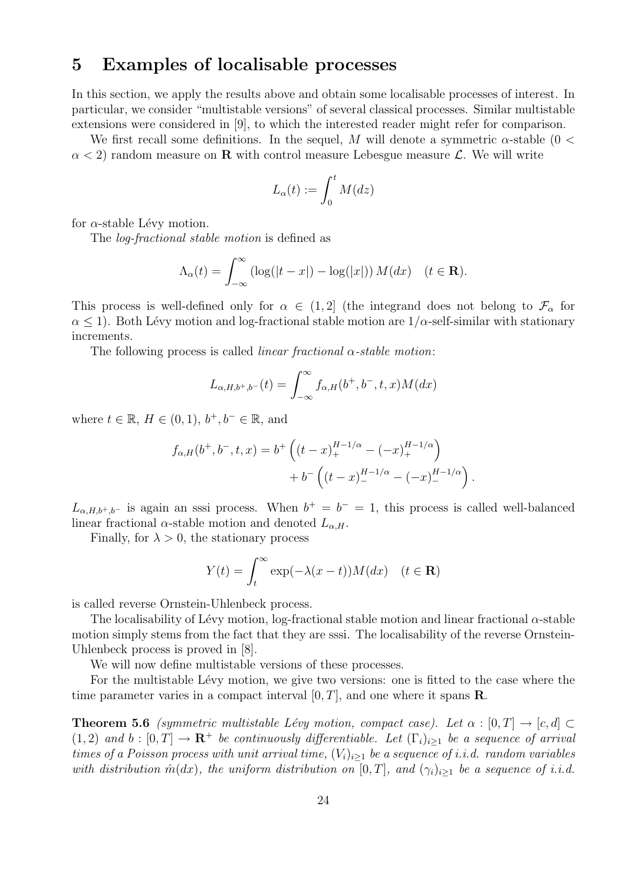## 5 Examples of localisable processes

In this section, we apply the results above and obtain some localisable processes of interest. In particular, we consider "multistable versions" of several classical processes. Similar multistable extensions were considered in [9], to which the interested reader might refer for comparison.

We first recall some definitions. In the sequel, M will denote a symmetric  $\alpha$ -stable (0 <  $\alpha$  < 2) random measure on **R** with control measure Lebesgue measure L. We will write

$$
L_{\alpha}(t):=\int_0^t M(dz)
$$

for  $\alpha$ -stable Lévy motion.

The log-fractional stable motion is defined as

$$
\Lambda_{\alpha}(t) = \int_{-\infty}^{\infty} \left( \log(|t - x|) - \log(|x|) \right) M(dx) \quad (t \in \mathbf{R}).
$$

This process is well-defined only for  $\alpha \in (1,2]$  (the integrand does not belong to  $\mathcal{F}_{\alpha}$  for  $\alpha$  < 1). Both Lévy motion and log-fractional stable motion are  $1/\alpha$ -self-similar with stationary increments.

The following process is called *linear fractional*  $\alpha$ -stable motion:

$$
L_{\alpha,H,b^+,b^-}(t) = \int_{-\infty}^{\infty} f_{\alpha,H}(b^+,b^-,t,x)M(dx)
$$

where  $t \in \mathbb{R}$ ,  $H \in (0,1)$ ,  $b^+, b^- \in \mathbb{R}$ , and

$$
f_{\alpha,H}(b^+,b^-,t,x) = b^+ \left( (t-x)_+^{H-1/\alpha} - (-x)_+^{H-1/\alpha} \right) + b^- \left( (t-x)_-^{H-1/\alpha} - (-x)_-^{H-1/\alpha} \right)
$$

.

 $L_{\alpha,H,b^+,b^-}$  is again an sssi process. When  $b^+=b^-=1$ , this process is called well-balanced linear fractional  $\alpha$ -stable motion and denoted  $L_{\alpha,H}$ .

Finally, for  $\lambda > 0$ , the stationary process

$$
Y(t) = \int_{t}^{\infty} \exp(-\lambda(x - t)) M(dx) \quad (t \in \mathbf{R})
$$

is called reverse Ornstein-Uhlenbeck process.

The localisability of Lévy motion, log-fractional stable motion and linear fractional  $\alpha$ -stable motion simply stems from the fact that they are sssi. The localisability of the reverse Ornstein-Uhlenbeck process is proved in [8].

We will now define multistable versions of these processes.

For the multistable Lévy motion, we give two versions: one is fitted to the case where the time parameter varies in a compact interval  $[0, T]$ , and one where it spans **R**.

**Theorem 5.6** (symmetric multistable Lévy motion, compact case). Let  $\alpha : [0, T] \to [c, d] \subset$  $(1, 2)$  and  $b : [0, T] \to \mathbb{R}^+$  be continuously differentiable. Let  $(\Gamma_i)_{i \geq 1}$  be a sequence of arrival times of a Poisson process with unit arrival time,  $(V_i)_{i>1}$  be a sequence of i.i.d. random variables with distribution  $\hat{m}(dx)$ , the uniform distribution on  $[0, T]$ , and  $(\gamma_i)_{i>1}$  be a sequence of i.i.d.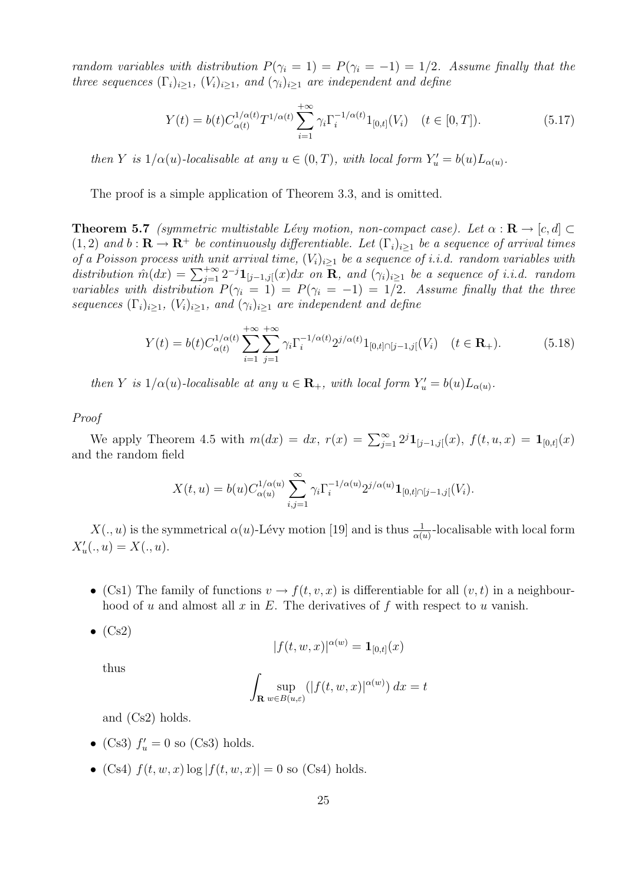random variables with distribution  $P(\gamma_i = 1) = P(\gamma_i = -1) = 1/2$ . Assume finally that the three sequences  $(\Gamma_i)_{i\geq 1}$ ,  $(V_i)_{i\geq 1}$ , and  $(\gamma_i)_{i\geq 1}$  are independent and define

$$
Y(t) = b(t)C_{\alpha(t)}^{1/\alpha(t)}T^{1/\alpha(t)}\sum_{i=1}^{+\infty}\gamma_i\Gamma_i^{-1/\alpha(t)}1_{[0,t]}(V_i) \quad (t \in [0,T]).
$$
\n(5.17)

then Y is  $1/\alpha(u)$ -localisable at any  $u \in (0,T)$ , with local form  $Y'_u = b(u)L_{\alpha(u)}$ .

The proof is a simple application of Theorem 3.3, and is omitted.

**Theorem 5.7** (symmetric multistable Lévy motion, non-compact case). Let  $\alpha : \mathbf{R} \to [c, d] \subset$  $(1, 2)$  and  $b : \mathbf{R} \to \mathbf{R}^+$  be continuously differentiable. Let  $(\Gamma_i)_{i \geq 1}$  be a sequence of arrival times of a Poisson process with unit arrival time,  $(V_i)_{i\geq 1}$  be a sequence of i.i.d. random variables with by a Poisson process with anti-arrival time,  $(v_i)_{i\geq 1}$  be a sequence of i.i.d. random distribution  $\hat{m}(dx) = \sum_{j=1}^{+\infty} 2^{-j} \mathbf{1}_{[j-1,j]}(x) dx$  on  $\mathbf{R}$ , and  $(\gamma_i)_{i\geq 1}$  be a sequence of i.i.d. random variables with distribution  $P(\gamma_i = 1) = P(\gamma_i = -1) = 1/2$ . Assume finally that the three sequences  $(\Gamma_i)_{i\geq 1}$ ,  $(V_i)_{i\geq 1}$ , and  $(\gamma_i)_{i\geq 1}$  are independent and define

$$
Y(t) = b(t)C_{\alpha(t)}^{1/\alpha(t)} \sum_{i=1}^{+\infty} \sum_{j=1}^{+\infty} \gamma_i \Gamma_i^{-1/\alpha(t)} 2^{j/\alpha(t)} 1_{[0,t] \cap [j-1,j]}(V_i) \quad (t \in \mathbf{R}_+). \tag{5.18}
$$

then Y is  $1/\alpha(u)$ -localisable at any  $u \in \mathbf{R}_+$ , with local form  $Y'_u = b(u)L_{\alpha(u)}$ .

Proof

We apply Theorem 4.5 with  $m(dx) = dx$ ,  $r(x) = \sum_{j=1}^{\infty} 2^{j} \mathbf{1}_{[j-1,j]}(x)$ ,  $f(t, u, x) = \mathbf{1}_{[0,t]}(x)$ and the random field

$$
X(t, u) = b(u)C_{\alpha(u)}^{1/\alpha(u)} \sum_{i,j=1}^{\infty} \gamma_i \Gamma_i^{-1/\alpha(u)} 2^{j/\alpha(u)} \mathbf{1}_{[0,t] \cap [j-1,j[}(V_i)).
$$

 $X(.,u)$  is the symmetrical  $\alpha(u)$ -Lévy motion [19] and is thus  $\frac{1}{\alpha(u)}$ -localisable with local form  $X'_u(.,u) = X(.,u).$ 

- (Cs1) The family of functions  $v \to f(t, v, x)$  is differentiable for all  $(v, t)$  in a neighbourhood of u and almost all x in  $E$ . The derivatives of f with respect to u vanish.
- $\bullet$  (Cs2)

$$
|f(t, w, x)|^{\alpha(w)} = \mathbf{1}_{[0,t]}(x)
$$

thus

$$
\int_{\mathbf{R}} \sup_{w \in B(u,\varepsilon)} (|f(t,w,x)|^{\alpha(w)}) dx = t
$$

and (Cs2) holds.

- (Cs3)  $f'_u = 0$  so (Cs3) holds.
- (Cs4)  $f(t, w, x) \log |f(t, w, x)| = 0$  so (Cs4) holds.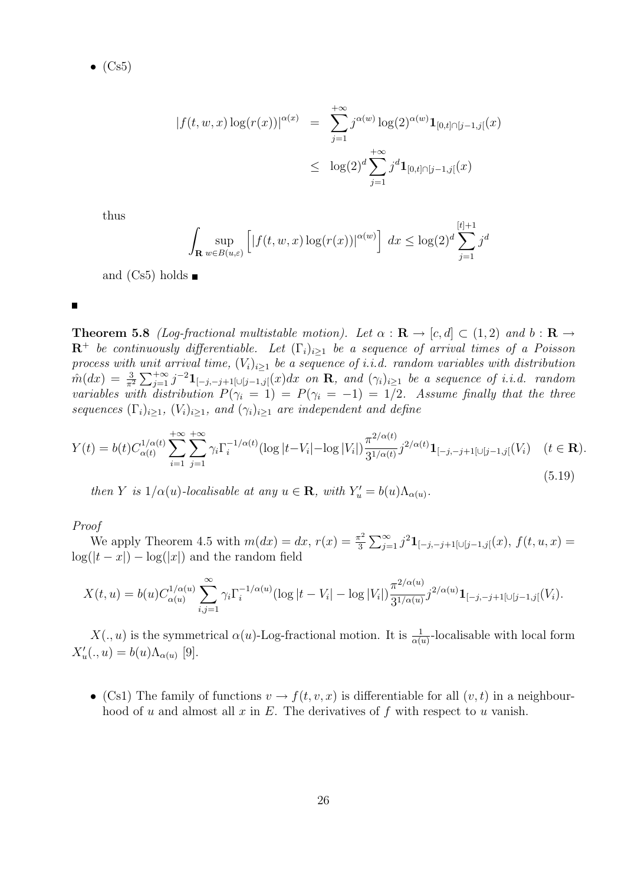$\bullet$  (Cs5)

$$
|f(t, w, x) \log(r(x))|^{\alpha(x)} = \sum_{j=1}^{+\infty} j^{\alpha(w)} \log(2)^{\alpha(w)} \mathbf{1}_{[0,t] \cap [j-1,j]}(x)
$$
  

$$
\leq \log(2)^{d} \sum_{j=1}^{+\infty} j^{d} \mathbf{1}_{[0,t] \cap [j-1,j]}(x)
$$

thus

$$
\int_{\mathbf{R}} \sup_{w \in B(u,\varepsilon)} \left[ |f(t,w,x) \log(r(x))|^{\alpha(w)} \right] dx \le \log(2)^d \sum_{j=1}^{[t]+1} j^d
$$

and  $(Cs5)$  holds  $\blacksquare$ 

**Theorem 5.8** (Log-fractional multistable motion). Let  $\alpha : \mathbf{R} \to [c, d] \subset (1, 2)$  and  $b : \mathbf{R} \to$  $\mathbb{R}^+$  be continuously differentiable. Let  $(\Gamma_i)_{i\geq 1}$  be a sequence of arrival times of a Poisson process with unit arrival time,  $(V_i)_{i>1}$  be a sequence of i.i.d. random variables with distribution  $\hat{m}(dx) = \frac{3}{\pi^2}$  $\sum_{\tau \to \infty}^{unu}$  $\bar{j}_{j=1}^{+\infty}$  j $^{-2}1_{[-j,-j+1[\cup[j-1,j[}(x)dx\;\;on\;\mathbf{R},\;\;and\;(\gamma_i)_{i\geq 1}\;\;be\;\;a\;\;sequence\;\;of\;\;i.i.d.\;\;random$ variables with distribution  $P(\gamma_i = 1) = P(\gamma_i = -1) = 1/2$ . Assume finally that the three sequences  $(\Gamma_i)_{i\geq 1}$ ,  $(V_i)_{i\geq 1}$ , and  $(\gamma_i)_{i\geq 1}$  are independent and define

$$
Y(t) = b(t)C_{\alpha(t)}^{1/\alpha(t)} \sum_{i=1}^{+\infty} \sum_{j=1}^{+\infty} \gamma_i \Gamma_i^{-1/\alpha(t)} (\log|t - V_i| - \log|V_i|) \frac{\pi^{2/\alpha(t)}}{3^{1/\alpha(t)}} j^{2/\alpha(t)} \mathbf{1}_{[-j,-j+1] \cup [j-1,j]}(V_i) \quad (t \in \mathbf{R}).
$$
\n(5.19)

then Y is  $1/\alpha(u)$ -localisable at any  $u \in \mathbf{R}$ , with  $Y'_u = b(u)\Lambda_{\alpha(u)}$ .

### Proof

We apply Theorem 4.5 with  $m(dx) = dx, r(x) = \frac{\pi^2}{3}$ 3  $\Gamma^{\infty}$  $\sum_{j=1}^{\infty} j^2 \mathbf{1}_{[-j,-j+1[\cup[j-1,j[}(x),f(t,u,x)] =$  $log(|t - x|) - log(|x|)$  and the random field

$$
X(t, u) = b(u)C_{\alpha(u)}^{1/\alpha(u)} \sum_{i,j=1}^{\infty} \gamma_i \Gamma_i^{-1/\alpha(u)} (\log|t - V_i| - \log|V_i|) \frac{\pi^{2/\alpha(u)}}{3^{1/\alpha(u)}} j^{2/\alpha(u)} \mathbf{1}_{[-j,-j+1[\cup[j-1,j[}(V_i)] \mathbf{1}_{[-j-1,j]}(V_i))
$$

 $X(.,u)$  is the symmetrical  $\alpha(u)$ -Log-fractional motion. It is  $\frac{1}{\alpha(u)}$ -localisable with local form  $X'_u(.,u) = b(u)\Lambda_{\alpha(u)}$  [9].

• (Cs1) The family of functions  $v \to f(t, v, x)$  is differentiable for all  $(v, t)$  in a neighbourhood of u and almost all x in E. The derivatives of f with respect to u vanish.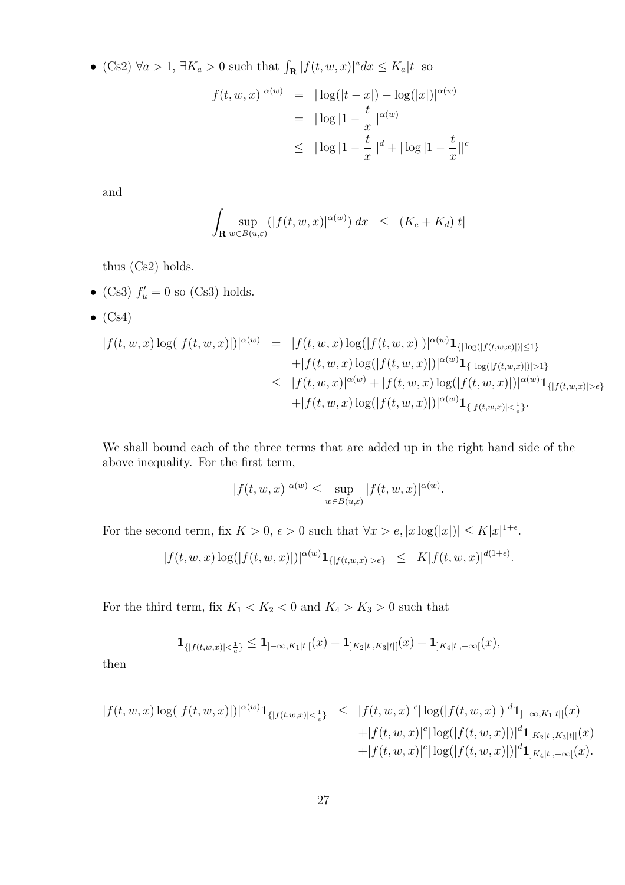• (Cs2)  $\forall a > 1$ ,  $\exists K_a > 0$  such that  $\int_{\mathbf{R}} |f(t, w, x)|^a dx \leq K_a |t|$  so

$$
|f(t, w, x)|^{\alpha(w)} = |\log(|t - x|) - \log(|x|)|^{\alpha(w)}
$$
  
=  $|\log|1 - \frac{t}{x}||^{\alpha(w)}$   
 $\leq |\log|1 - \frac{t}{x}||^d + |\log|1 - \frac{t}{x}||^c$ 

and

$$
\int_{\mathbf{R}} \sup_{w \in B(u,\varepsilon)} (|f(t,w,x)|^{\alpha(w)}) dx \le (K_c + K_d)|t|
$$

thus (Cs2) holds.

- (Cs3)  $f'_u = 0$  so (Cs3) holds.
- $\bullet$  (Cs4)

$$
|f(t, w, x) \log(|f(t, w, x)|)|^{\alpha(w)} = |f(t, w, x) \log(|f(t, w, x)|)|^{\alpha(w)} \mathbf{1}_{\{|\log(|f(t, w, x)|)| \le 1\}} + |f(t, w, x) \log(|f(t, w, x)|)|^{\alpha(w)} \mathbf{1}_{\{|\log(|f(t, w, x)|)| > 1\}} \leq |f(t, w, x)|^{\alpha(w)} + |f(t, w, x) \log(|f(t, w, x)|)|^{\alpha(w)} \mathbf{1}_{\{|f(t, w, x)| > \epsilon\}} + |f(t, w, x) \log(|f(t, w, x)|)|^{\alpha(w)} \mathbf{1}_{\{|f(t, w, x)| < \frac{1}{\epsilon}\}}.
$$

We shall bound each of the three terms that are added up in the right hand side of the above inequality. For the first term,

$$
|f(t, w, x)|^{\alpha(w)} \le \sup_{w \in B(u, \varepsilon)} |f(t, w, x)|^{\alpha(w)}.
$$

For the second term, fix  $K > 0$ ,  $\epsilon > 0$  such that  $\forall x > \epsilon, |x \log(|x|)| \leq K |x|^{1+\epsilon}$ .

$$
|f(t, w, x) \log(|f(t, w, x)|)|^{\alpha(w)} \mathbf{1}_{\{|f(t, w, x)| > \epsilon\}} \leq K |f(t, w, x)|^{d(1+\epsilon)}.
$$

For the third term, fix  $K_1 < K_2 < 0$  and  $K_4 > K_3 > 0$  such that

$$
\mathbf{1}_{\{|f(t,w,x)|<\frac{1}{e}\}}\leq \mathbf{1}_{]-\infty,K_1|t|[}(x)+\mathbf{1}_{]K_2|t|,K_3|t|[}(x)+\mathbf{1}_{]K_4|t|,+\infty[}(x),
$$

then

$$
|f(t, w, x) \log(|f(t, w, x)|)|^{\alpha(w)} \mathbf{1}_{\{|f(t, w, x)| < \frac{1}{e}\}} \leq |f(t, w, x)|^c |\log(|f(t, w, x)|)|^d \mathbf{1}_{]-\infty, K_1 |t|[}(x) + |f(t, w, x)|^c |\log(|f(t, w, x)|)|^d \mathbf{1}_{]K_2 |t|, K_3 |t|[}(x) + |f(t, w, x)|^c |\log(|f(t, w, x)|)|^d \mathbf{1}_{]K_4 |t|, +\infty [}(x).
$$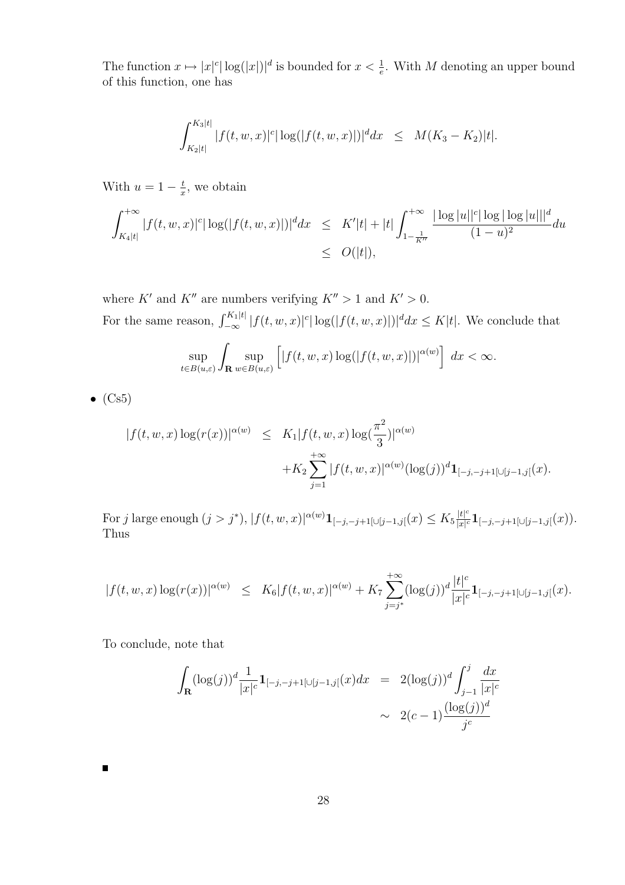The function  $x \mapsto |x|^c |\log(|x|)|^d$  is bounded for  $x < \frac{1}{e}$ . With M denoting an upper bound of this function, one has

$$
\int_{K_2|t|}^{K_3|t|} |f(t, w, x)|^c |\log(|f(t, w, x)|)|^d dx \leq M(K_3 - K_2)|t|.
$$

With  $u=1-\frac{t}{x}$  $\frac{t}{x}$ , we obtain

$$
\int_{K_4|t|}^{+\infty} |f(t, w, x)|^c |\log(|f(t, w, x)|)|^d dx \leq K'|t| + |t| \int_{1 - \frac{1}{K''}}^{+\infty} \frac{|\log|u||^c |\log|\log|u|||^d}{(1 - u)^2} du
$$
  

$$
\leq O(|t|),
$$

where  $K'$  and  $K''$  are numbers verifying  $K'' > 1$  and  $K' > 0$ . For the same reason,  $\int_{-\infty}^{K_1|t|} |f(t, w, x)|^c |\log(|f(t, w, x)|)|^d dx \leq K|t|$ . We conclude that

$$
\sup_{t\in B(u,\varepsilon)}\int_{\mathbf{R}}\sup_{w\in B(u,\varepsilon)}\left[\left|f(t,w,x)\log(|f(t,w,x)|)\right|^{\alpha(w)}\right]\,dx<\infty.
$$

 $\bullet$  (Cs5)

 $\blacksquare$ 

$$
|f(t, w, x) \log(r(x))|^{\alpha(w)} \leq K_1 |f(t, w, x) \log(\frac{\pi^2}{3})|^{\alpha(w)} + K_2 \sum_{j=1}^{+\infty} |f(t, w, x)|^{\alpha(w)} (\log(j))^d \mathbf{1}_{[-j, -j+1[\cup[j-1,j[}(x).
$$

For j large enough  $(j > j^*)$ ,  $|f(t, w, x)|^{\alpha(w)}$   $1_{[-j, -j+1] \cup [j-1,j]}(x) \leq K_5 \frac{|t|^{\alpha}}{|x|^{\alpha}}$  $\frac{|t|^c}{|x|^c}\mathbf{1}_{[-j,-j+1[\cup[j-1,j[\begin{pmatrix} x \end{pmatrix})\cdot]}$ Thus

$$
|f(t, w, x) \log(r(x))|^{\alpha(w)} \leq K_6 |f(t, w, x)|^{\alpha(w)} + K_7 \sum_{j=j^*}^{+\infty} (\log(j))^d \frac{|t|^c}{|x|^c} \mathbf{1}_{[-j, -j+1] \cup [j-1, j]}(x).
$$

To conclude, note that

$$
\int_{\mathbf{R}} (\log(j))^d \frac{1}{|x|^c} \mathbf{1}_{[-j,-j+1[\cup[j-1,j[}(x)dx] = 2(\log(j))^d \int_{j-1}^j \frac{dx}{|x|^c} \n\sim 2(c-1) \frac{(\log(j))^d}{j^c}
$$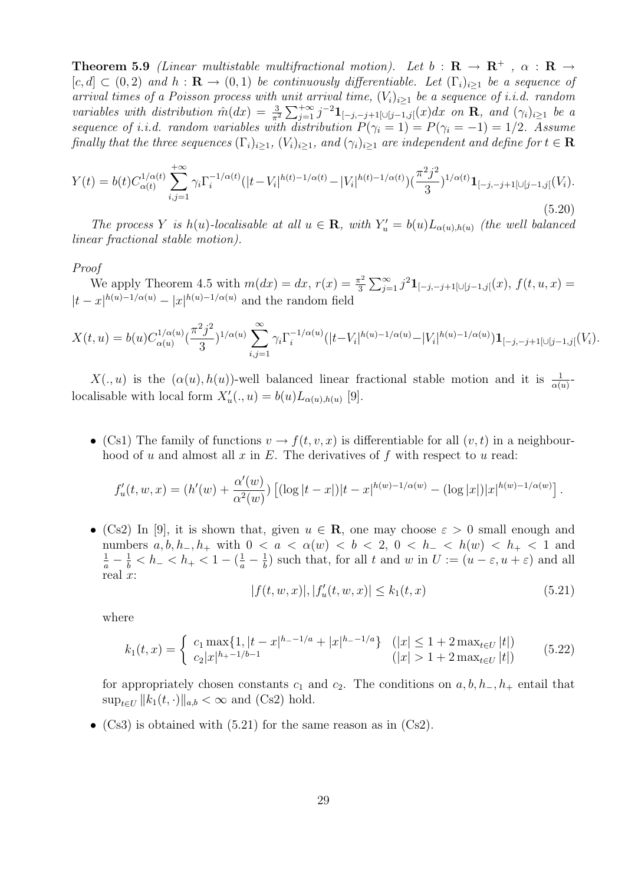**Theorem 5.9** (Linear multistable multifractional motion). Let  $b : \mathbf{R} \to \mathbf{R}^+$ ,  $\alpha : \mathbf{R} \to$  $[c, d] \subset (0, 2)$  and  $h : \mathbf{R} \to (0, 1)$  be continuously differentiable. Let  $(\Gamma_i)_{i>1}$  be a sequence of arrival times of a Poisson process with unit arrival time,  $(V_i)_{i>1}$  be a sequence of i.i.d. random variables with distribution  $\hat{m}(dx) = \frac{3}{\pi^2}$  $\sum_{n+∞}$  $_{j=1}^{+\infty}$  j<sup>-2</sup>**1**<sub>[-j,-j+1[∪[j-1,j[(x)dx on **R**, and  $(\gamma_i)_{i≥1}$  be a</sub> sequence of i.i.d. random variables with distribution  $P(\gamma_i = 1) = P(\gamma_i = -1) = 1/2$ . Assume finally that the three sequences  $(\Gamma_i)_{i\geq 1}$ ,  $(V_i)_{i\geq 1}$ , and  $(\gamma_i)_{i\geq 1}$  are independent and define for  $t \in \mathbf{R}$ 

$$
Y(t) = b(t)C_{\alpha(t)}^{1/\alpha(t)} \sum_{i,j=1}^{+\infty} \gamma_i \Gamma_i^{-1/\alpha(t)} (|t - V_i|^{h(t)-1/\alpha(t)} - |V_i|^{h(t)-1/\alpha(t)}) (\frac{\pi^2 j^2}{3})^{1/\alpha(t)} \mathbf{1}_{[-j,-j+1[\cup[j-1,j[\{V_i\}])}.
$$
\n(5.20)

The process Y is h(u)-localisable at all  $u \in \mathbf{R}$ , with  $Y'_u = b(u)L_{\alpha(u),h(u)}$  (the well balanced linear fractional stable motion).

#### Proof

We apply Theorem 4.5 with  $m(dx) = dx, r(x) = \frac{\pi^2}{3}$ 3  $\Gamma^{\infty}$  $\sum_{j=1}^{\infty} j^2 \mathbf{1}_{[-j,-j+1[\cup[j-1,j[}(x),f(t,u,x)] =$  $|t-x|^{h(u)-1/\alpha(u)} - |x|^{h(u)-1/\alpha(u)}$  and the random field

$$
X(t,u) = b(u)C_{\alpha(u)}^{1/\alpha(u)}(\frac{\pi^2 j^2}{3})^{1/\alpha(u)}\sum_{i,j=1}^{\infty} \gamma_i \Gamma_i^{-1/\alpha(u)}(|t-V_i|^{h(u)-1/\alpha(u)} - |V_i|^{h(u)-1/\alpha(u)})\mathbf{1}_{[-j,-j+1]\cup[j-1,j]}(V_i).
$$

 $X(.,u)$  is the  $(\alpha(u),h(u))$ -well balanced linear fractional stable motion and it is  $\frac{1}{\alpha(u)}$ localisable with local form  $X'_u(.,u) = b(u)L_{\alpha(u),h(u)}$  [9].

• (Cs1) The family of functions  $v \to f(t, v, x)$  is differentiable for all  $(v, t)$  in a neighbourhood of u and almost all x in  $E$ . The derivatives of f with respect to u read:

$$
f'_u(t, w, x) = (h'(w) + \frac{\alpha'(w)}{\alpha^2(w)}) \left[ (\log|t - x|) |t - x|^{h(w) - 1/\alpha(w)} - (\log|x|) |x|^{h(w) - 1/\alpha(w)} \right].
$$

• (Cs2) In [9], it is shown that, given  $u \in \mathbf{R}$ , one may choose  $\varepsilon > 0$  small enough and numbers  $a, b, h_-, h_+$  with  $0 < a < \alpha(w) < b < 2, 0 < h_- < h(w) < h_+ < 1$  and  $\frac{1}{a} - \frac{1}{b} < h_- < h_+ < 1 - (\frac{1}{a} - \frac{1}{b})$  $\frac{1}{b}$ ) such that, for all t and w in  $U := (u - \varepsilon, u + \varepsilon)$  and all real  $x$ :

$$
|f(t, w, x)|, |f'_u(t, w, x)| \le k_1(t, x)
$$
\n(5.21)

where

$$
k_1(t,x) = \begin{cases} c_1 \max\{1, |t-x|^{h-1/a} + |x|^{h-1/a}\} & (|x| \le 1+2 \max_{t \in U} |t|) \\ c_2 |x|^{h+1/b-1} & (|x| > 1+2 \max_{t \in U} |t|) \end{cases} (5.22)
$$

for appropriately chosen constants  $c_1$  and  $c_2$ . The conditions on  $a, b, h_-, h_+$  entail that  $\sup_{t\in U} ||k_1(t, \cdot)||_{a,b} < \infty$  and (Cs2) hold.

•  $(Cs3)$  is obtained with  $(5.21)$  for the same reason as in  $(Cs2)$ .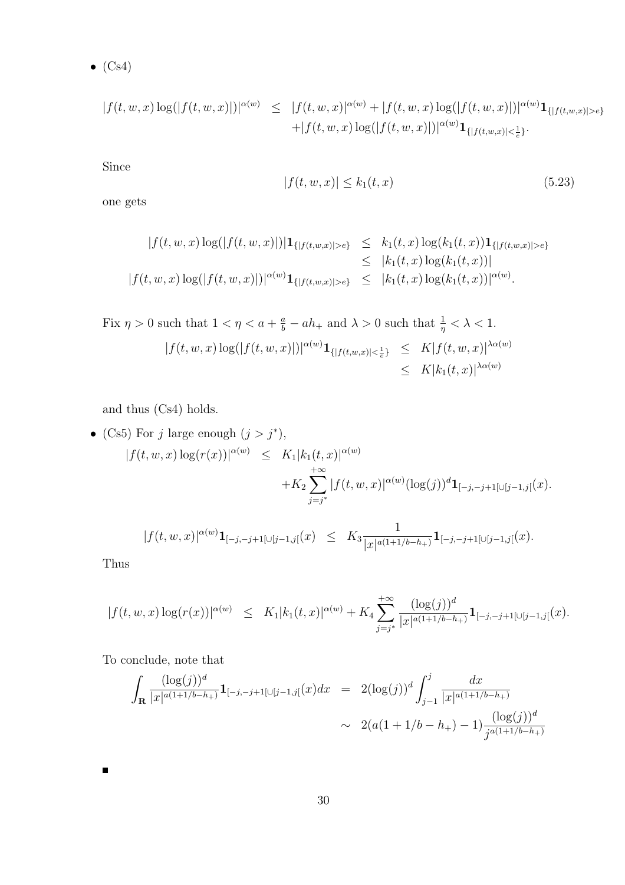$\bullet$  (Cs4)

$$
|f(t, w, x) \log(|f(t, w, x)|)|^{\alpha(w)} \leq |f(t, w, x)|^{\alpha(w)} + |f(t, w, x) \log(|f(t, w, x)|)|^{\alpha(w)} \mathbf{1}_{\{|f(t, w, x)| > \epsilon\}} + |f(t, w, x) \log(|f(t, w, x)|)|^{\alpha(w)} \mathbf{1}_{\{|f(t, w, x)| < \frac{1}{\epsilon}\}}.
$$

Since

$$
|f(t, w, x)| \le k_1(t, x) \tag{5.23}
$$

one gets

$$
|f(t, w, x) \log(|f(t, w, x)|)|\mathbf{1}_{\{|f(t, w, x)| > \epsilon\}} \leq k_1(t, x) \log(k_1(t, x))\mathbf{1}_{\{|f(t, w, x)| > \epsilon\}}\leq |k_1(t, x) \log(k_1(t, x))|
$$
  

$$
|f(t, w, x) \log(|f(t, w, x)|)|^{\alpha(w)}\mathbf{1}_{\{|f(t, w, x)| > \epsilon\}} \leq |k_1(t, x) \log(k_1(t, x))|^{\alpha(w)}.
$$

Fix 
$$
\eta > 0
$$
 such that  $1 < \eta < a + \frac{a}{b} - ah_+$  and  $\lambda > 0$  such that  $\frac{1}{\eta} < \lambda < 1$ .  
\n
$$
|f(t, w, x) \log(|f(t, w, x)|)|^{\alpha(w)} \mathbf{1}_{\{|f(t, w, x)| < \frac{1}{e}\}} \leq K |f(t, w, x)|^{\lambda \alpha(w)} \leq K |k_1(t, x)|^{\lambda \alpha(w)}
$$

and thus (Cs4) holds.

• (Cs5) For *j* large enough 
$$
(j > j^*)
$$
,  
\n
$$
|f(t, w, x) \log(r(x))|^{\alpha(w)} \leq K_1 |k_1(t, x)|^{\alpha(w)} + K_2 \sum_{j=j^*}^{+\infty} |f(t, w, x)|^{\alpha(w)} (\log(j))^d \mathbf{1}_{[-j, -j+1] \cup [j-1, j]}(x).
$$

$$
|f(t,w,x)|^{\alpha(w)}\mathbf{1}_{[-j,-j+1[\cup[j-1,j[}(x)]]}\ \leq\ K_3\frac{1}{|x|^{a(1+1/b-h_+)}}\mathbf{1}_{[-j,-j+1[\cup[j-1,j[}(x)].
$$

Thus

 $\blacksquare$ 

$$
|f(t, w, x) \log(r(x))|^{\alpha(w)} \leq K_1 |k_1(t, x)|^{\alpha(w)} + K_4 \sum_{j=j^*}^{+\infty} \frac{(\log(j))^d}{|x|^{a(1+1/b-h_+)}} \mathbf{1}_{[-j, -j+1[\cup[j-1,j[}(x).
$$

To conclude, note that

$$
\int_{\mathbf{R}} \frac{(\log(j))^d}{|x|^{a(1+1/b-h_+)}} \mathbf{1}_{[-j,-j+1[\cup[j-1,j[}(x)dx] = 2(\log(j))^d \int_{j-1}^j \frac{dx}{|x|^{a(1+1/b-h_+)}} \\ \sim 2(a(1+1/b-h_+) - 1) \frac{(\log(j))^d}{j^{a(1+1/b-h_+)}}
$$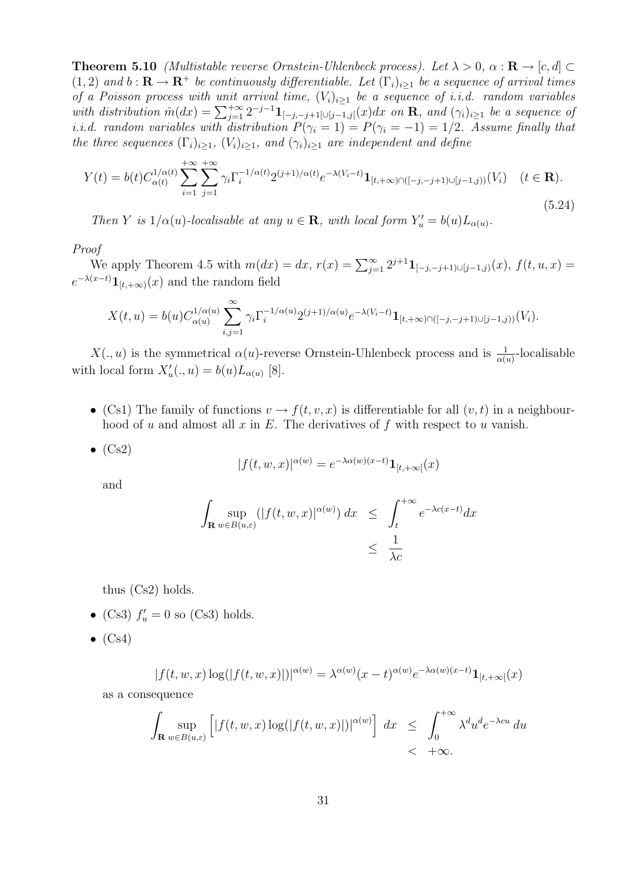**Theorem 5.10** (Multistable reverse Ornstein-Uhlenbeck process). Let  $\lambda > 0$ ,  $\alpha : \mathbf{R} \to [c, d] \subset$  $(1, 2)$  and  $b : \mathbf{R} \to \mathbf{R}^+$  be continuously differentiable. Let  $(\Gamma_i)_{i>1}$  be a sequence of arrival times of a Poisson process with unit arrival time,  $(V_i)_{i>1}$  be a sequence of i.i.d. random variables by a Poisson process with anti-arrival time,  $\langle V_i \rangle_{i\geq 1}$  be a sequence of i.i.a. random variables<br>with distribution  $\hat{m}(dx) = \sum_{j=1}^{+\infty} 2^{-j-1} \mathbf{1}_{[-j,-j+1[\cup[j-1,j[(x)dx \text{ on } \mathbf{R}, \text{ and } (\gamma_i)_{i\geq 1} ]}$  be a sequence of i.i.d. random variables with distribution  $P(\gamma_i = 1) = P(\gamma_i = -1) = 1/2$ . Assume finally that the three sequences  $(\Gamma_i)_{i\geq 1}$ ,  $(V_i)_{i\geq 1}$ , and  $(\gamma_i)_{i\geq 1}$  are independent and define

$$
Y(t) = b(t)C_{\alpha(t)}^{1/\alpha(t)} \sum_{i=1}^{+\infty} \sum_{j=1}^{+\infty} \gamma_i \Gamma_i^{-1/\alpha(t)} 2^{(j+1)/\alpha(t)} e^{-\lambda(V_i - t)} \mathbf{1}_{[t, +\infty) \cap ([-j, -j+1) \cup [j-1, j))}(V_i) \quad (t \in \mathbf{R}).
$$
\n(5.24)

Then Y is  $1/\alpha(u)$ -localisable at any  $u \in \mathbf{R}$ , with local form  $Y'_u = b(u)L_{\alpha(u)}$ .

Proof

We apply Theorem 4.5 with  $m(dx) = dx$ ,  $r(x) = \sum_{j=1}^{\infty} 2^{j+1} \mathbf{1}_{[-j,-j+1] \cup [j-1,j)}(x)$ ,  $f(t, u, x) =$  $e^{-\lambda(x-t)}\mathbf{1}_{[t,+\infty)}(x)$  and the random field

$$
X(t, u) = b(u)C_{\alpha(u)}^{1/\alpha(u)} \sum_{i,j=1}^{\infty} \gamma_i \Gamma_i^{-1/\alpha(u)} 2^{(j+1)/\alpha(u)} e^{-\lambda(V_i-t)} \mathbf{1}_{[t,+\infty)\cap([-j,-j+1)\cup[j-1,j)]}(V_i).
$$

 $X(.,u)$  is the symmetrical  $\alpha(u)$ -reverse Ornstein-Uhlenbeck process and is  $\frac{1}{\alpha(u)}$ -localisable with local form  $X'_u(.,u) = b(u)L_{\alpha(u)}$  [8].

- (Cs1) The family of functions  $v \to f(t, v, x)$  is differentiable for all  $(v, t)$  in a neighbourhood of u and almost all x in E. The derivatives of f with respect to u vanish.
- $\bullet$  (Cs2)

$$
|f(t, w, x)|^{\alpha(w)} = e^{-\lambda \alpha(w)(x-t)} \mathbf{1}_{[t, +\infty[}(x))
$$

and

$$
\int_{\mathbf{R}} \sup_{w \in B(u,\varepsilon)} (|f(t,w,x)|^{\alpha(w)}) dx \leq \int_{t}^{+\infty} e^{-\lambda c(x-t)} dx
$$
  

$$
\leq \frac{1}{\lambda c}
$$

thus (Cs2) holds.

- (Cs3)  $f'_u = 0$  so (Cs3) holds.
- $\bullet$  (Cs4)

$$
|f(t, w, x) \log(|f(t, w, x)|)|^{\alpha(w)} = \lambda^{\alpha(w)}(x - t)^{\alpha(w)} e^{-\lambda \alpha(w)(x - t)} \mathbf{1}_{[t, +\infty[}(x))
$$

as a consequence

$$
\int_{\mathbf{R}} \sup_{w \in B(u,\varepsilon)} \left[ |f(t,w,x)\log(|f(t,w,x)|)|^{\alpha(w)} \right] dx \leq \int_0^{+\infty} \lambda^d u^d e^{-\lambda c u} du
$$
  
< +\infty.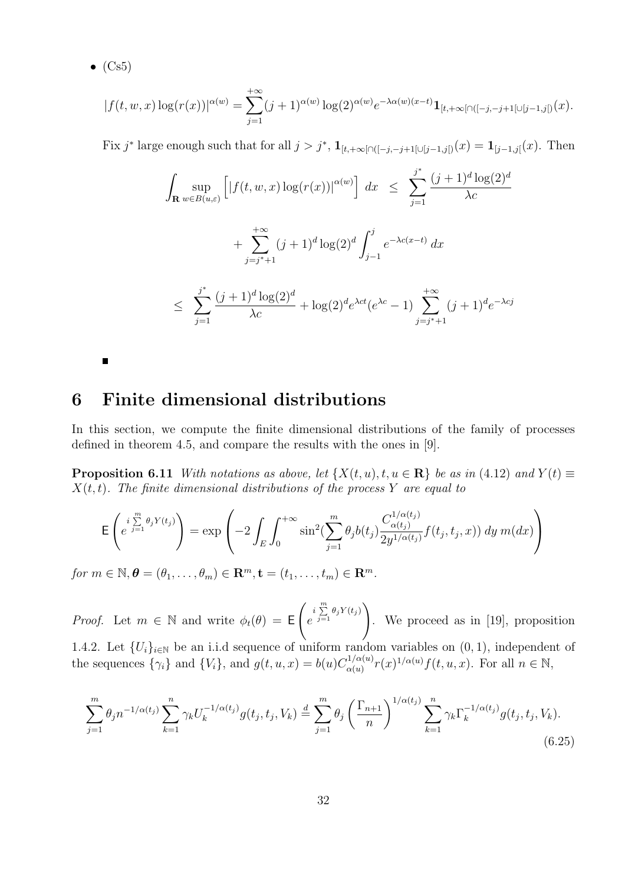$\bullet$  (Cs5)

п

$$
|f(t, w, x) \log(r(x))|^{\alpha(w)} = \sum_{j=1}^{+\infty} (j+1)^{\alpha(w)} \log(2)^{\alpha(w)} e^{-\lambda \alpha(w)(x-t)} \mathbf{1}_{[t, +\infty[\cap([-j, -j+1[\cup[j-1,j[]) (x)] \times \mathbb{R}^{j-1})}.
$$

Fix j<sup>\*</sup> large enough such that for all  $j > j^*$ ,  $\mathbf{1}_{[t,+\infty[\cap([-j,-j+1[\cup[j-1,j])}(x)] = \mathbf{1}_{[j-1,j]}(x)$ . Then

$$
\int_{\mathbf{R}} \sup_{w \in B(u,\varepsilon)} \left[ |f(t, w, x) \log(r(x))|^{\alpha(w)} \right] dx \le \sum_{j=1}^{j^*} \frac{(j+1)^d \log(2)^d}{\lambda c} + \sum_{j=j^*+1}^{+\infty} (j+1)^d \log(2)^d \int_{j-1}^j e^{-\lambda c(x-t)} dx
$$
  

$$
\le \sum_{j=1}^{j^*} \frac{(j+1)^d \log(2)^d}{\lambda c} + \log(2)^d e^{\lambda ct} (e^{\lambda c} - 1) \sum_{j=j^*+1}^{+\infty} (j+1)^d e^{-\lambda c j}
$$

## 6 Finite dimensional distributions

In this section, we compute the finite dimensional distributions of the family of processes defined in theorem 4.5, and compare the results with the ones in [9].

**Proposition 6.11** With notations as above, let  $\{X(t, u), t, u \in \mathbb{R}\}\)$  be as in (4.12) and  $Y(t) \equiv$  $X(t, t)$ . The finite dimensional distributions of the process Y are equal to

$$
\mathsf{E}\left(e^{\int\limits_{j=1}^{m}\theta_j Y(t_j)}\right) = \exp\left(-2\int_E \int_0^{+\infty} \sin^2(\sum_{j=1}^m \theta_j b(t_j) \frac{C_{\alpha(t_j)}^{1/\alpha(t_j)}}{2y^{1/\alpha(t_j)}} f(t_j, t_j, x)) dy m(dx)\right)
$$

for  $m \in \mathbb{N}, \boldsymbol{\theta} = (\theta_1, \ldots, \theta_m) \in \mathbb{R}^m, \mathbf{t} = (t_1, \ldots, t_m) \in \mathbb{R}^m$ .

*Proof.* Let  $m \in \mathbb{N}$  and write  $\phi_t(\theta) = \mathsf{E}$  $\overline{\phantom{a}}$  $e^{i\sum\limits_{j=1}^{m}}$  $\sum_{j=1} \theta_j Y(t_j)$ !<br>} . We proceed as in [19], proposition 1.4.2. Let  $\{U_i\}_{i\in\mathbb{N}}$  be an i.i.d sequence of uniform random variables on  $(0, 1)$ , independent of the sequences  $\{\gamma_i\}$  and  $\{V_i\}$ , and  $g(t, u, x) = b(u) C_{\alpha(u)}^{1/\alpha(u)}$  $\alpha_{\alpha(u)}^{(1/\alpha(u)}r(x)^{1/\alpha(u)}f(t,u,x)$ . For all  $n \in \mathbb{N}$ ,

$$
\sum_{j=1}^{m} \theta_j n^{-1/\alpha(t_j)} \sum_{k=1}^{n} \gamma_k U_k^{-1/\alpha(t_j)} g(t_j, t_j, V_k) \stackrel{d}{=} \sum_{j=1}^{m} \theta_j \left(\frac{\Gamma_{n+1}}{n}\right)^{1/\alpha(t_j)} \sum_{k=1}^{n} \gamma_k \Gamma_k^{-1/\alpha(t_j)} g(t_j, t_j, V_k).
$$
\n(6.25)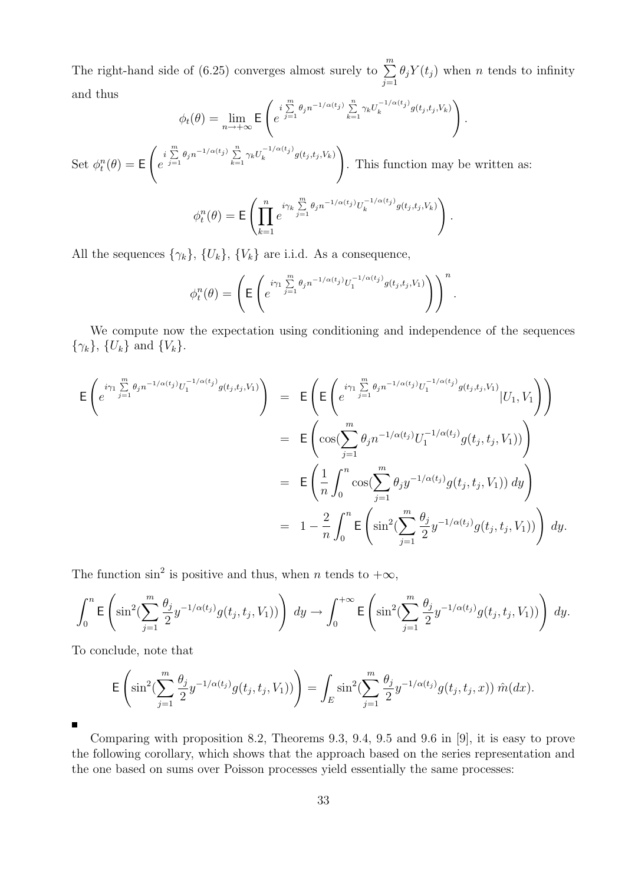The right-hand side of (6.25) converges almost surely to  $\sum_{n=1}^{\infty}$  $j=1$  $\theta_j Y(t_j)$  when n tends to infinity and thus  $\overline{a}$ !<br>}

$$
\phi_t(\theta) = \lim_{n \to +\infty} \mathsf{E}\left(e^{i\sum\limits_{j=1}^m \theta_j n^{-1/\alpha(t_j)}} \sum\limits_{k=1}^n \gamma_k U_k^{-1/\alpha(t_j)} g(t_j, t_j, V_k)\right).
$$

Set  $\phi_t^n(\theta) = \mathsf{E}$  $\overline{\phantom{a}}$  $e^{i\sum\limits_{j=1}^{m}}$  $\sum_{j=1}^m \theta_j n^{-1/\alpha(t_j)} \sum_{k=1}^n$  $\sum_{k=1}^n \gamma_k U_k^{-1/\alpha(t_j)}$  $\int_k^{t} \int_{-\infty}^{\infty} g(t_j,t_j,V_k)$ . This function may be written as:

$$
\phi_t^n(\theta) = \mathsf{E}\left(\prod_{k=1}^n e^{i\gamma_k \sum\limits_{j=1}^m \theta_j n^{-1/\alpha(t_j)}} U_k^{-1/\alpha(t_j)} g(t_j,t_j,V_k)\right).
$$

All the sequences  $\{\gamma_k\}, \{U_k\}, \{V_k\}$  are i.i.d. As a consequence,

$$
\phi_t^n(\theta) = \left( \mathsf{E} \left( e^{i\gamma_1 \sum\limits_{j=1}^m \theta_j n^{-1/\alpha(t_j)} U_1^{-1/\alpha(t_j)} g(t_j, t_j, V_1)} \right) \right)^n.
$$

We compute now the expectation using conditioning and independence of the sequences  $\{\gamma_k\}, \{U_k\} \text{ and } \{V_k\}.$ 

$$
\mathsf{E}\left(e^{i\gamma_1\sum\limits_{j=1}^{m}\theta_j n^{-1/\alpha(t_j)}U_1^{-1/\alpha(t_j)}g(t_j,t_j,V_1)}\right) = \mathsf{E}\left(\mathsf{E}\left(e^{i\gamma_1\sum\limits_{j=1}^{m}\theta_j n^{-1/\alpha(t_j)}U_1^{-1/\alpha(t_j)}g(t_j,t_j,V_1)}|U_1,V_1\right)\right)
$$
\n
$$
= \mathsf{E}\left(\cos\left(\sum\limits_{j=1}^{m}\theta_j n^{-1/\alpha(t_j)}U_1^{-1/\alpha(t_j)}g(t_j,t_j,V_1)\right)\right)
$$
\n
$$
= \mathsf{E}\left(\frac{1}{n}\int_0^n\cos\left(\sum\limits_{j=1}^{m}\theta_j y^{-1/\alpha(t_j)}g(t_j,t_j,V_1)\right)dy\right)
$$
\n
$$
= 1 - \frac{2}{n}\int_0^n\mathsf{E}\left(\sin^2\left(\sum\limits_{j=1}^{m}\frac{\theta_j}{2}y^{-1/\alpha(t_j)}g(t_j,t_j,V_1)\right)dy\right)dy.
$$

The function  $\sin^2$  is positive and thus, when *n* tends to  $+\infty$ ,

$$
\int_0^n \mathsf{E}\left(\sin^2(\sum_{j=1}^m\frac{\theta_j}{2}y^{-1/\alpha(t_j)}g(t_j,t_j,V_1))\right) dy \to \int_0^{+\infty} \mathsf{E}\left(\sin^2(\sum_{j=1}^m\frac{\theta_j}{2}y^{-1/\alpha(t_j)}g(t_j,t_j,V_1))\right) dy.
$$

To conclude, note that

$$
\mathsf{E}\left(\sin^2(\sum_{j=1}^m\frac{\theta_j}{2}y^{-1/\alpha(t_j)}g(t_j,t_j,V_1))\right)=\int_E\sin^2(\sum_{j=1}^m\frac{\theta_j}{2}y^{-1/\alpha(t_j)}g(t_j,t_j,x))\,\hat{m}(dx).
$$

п

Comparing with proposition 8.2, Theorems 9.3, 9.4, 9.5 and 9.6 in [9], it is easy to prove the following corollary, which shows that the approach based on the series representation and the one based on sums over Poisson processes yield essentially the same processes: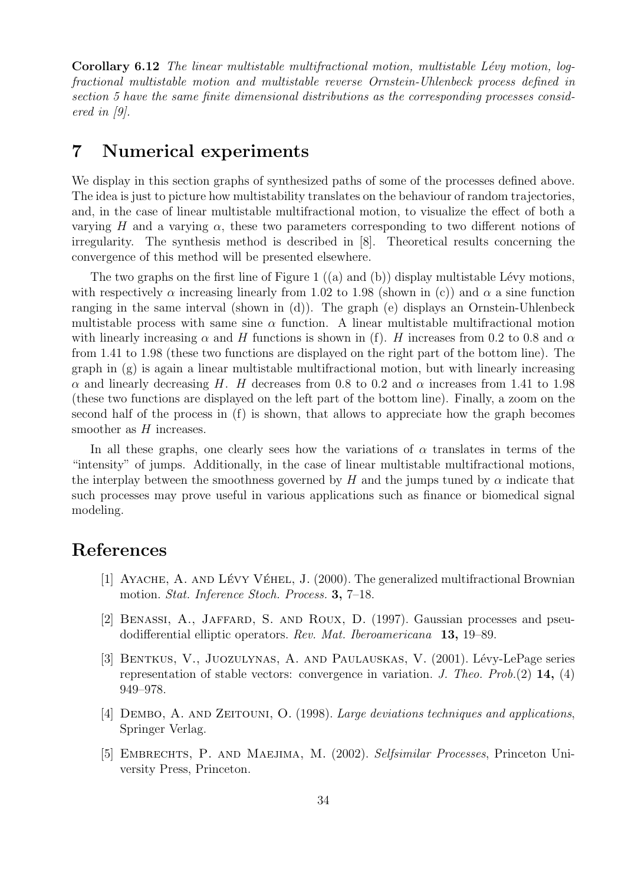Corollary 6.12 The linear multistable multifractional motion, multistable Lévy motion, logfractional multistable motion and multistable reverse Ornstein-Uhlenbeck process defined in section 5 have the same finite dimensional distributions as the corresponding processes considered in [9].

## 7 Numerical experiments

We display in this section graphs of synthesized paths of some of the processes defined above. The idea is just to picture how multistability translates on the behaviour of random trajectories, and, in the case of linear multistable multifractional motion, to visualize the effect of both a varying H and a varying  $\alpha$ , these two parameters corresponding to two different notions of irregularity. The synthesis method is described in [8]. Theoretical results concerning the convergence of this method will be presented elsewhere.

The two graphs on the first line of Figure 1  $((a)$  and  $(b))$  display multistable Lévy motions, with respectively  $\alpha$  increasing linearly from 1.02 to 1.98 (shown in (c)) and  $\alpha$  a sine function ranging in the same interval (shown in (d)). The graph (e) displays an Ornstein-Uhlenbeck multistable process with same sine  $\alpha$  function. A linear multistable multifractional motion with linearly increasing  $\alpha$  and H functions is shown in (f). H increases from 0.2 to 0.8 and  $\alpha$ from 1.41 to 1.98 (these two functions are displayed on the right part of the bottom line). The graph in  $(g)$  is again a linear multistable multifractional motion, but with linearly increasing α and linearly decreasing H. H decreases from 0.8 to 0.2 and α increases from 1.41 to 1.98 (these two functions are displayed on the left part of the bottom line). Finally, a zoom on the second half of the process in (f) is shown, that allows to appreciate how the graph becomes smoother as  $H$  increases.

In all these graphs, one clearly sees how the variations of  $\alpha$  translates in terms of the "intensity" of jumps. Additionally, in the case of linear multistable multifractional motions, the interplay between the smoothness governed by H and the jumps tuned by  $\alpha$  indicate that such processes may prove useful in various applications such as finance or biomedical signal modeling.

## References

- [1] AYACHE, A. AND LÉVY VÉHEL, J.  $(2000)$ . The generalized multifractional Brownian motion. Stat. Inference Stoch. Process. 3, 7–18.
- [2] Benassi, A., Jaffard, S. and Roux, D. (1997). Gaussian processes and pseudodifferential elliptic operators. Rev. Mat. Iberoamericana 13, 19–89.
- [3] BENTKUS, V., JUOZULYNAS, A. AND PAULAUSKAS, V. (2001). Lévy-LePage series representation of stable vectors: convergence in variation. J. Theo. Prob.(2)  $14$ , (4) 949–978.
- [4] DEMBO, A. AND ZEITOUNI, O. (1998). Large deviations techniques and applications, Springer Verlag.
- [5] Embrechts, P. and Maejima, M. (2002). Selfsimilar Processes, Princeton University Press, Princeton.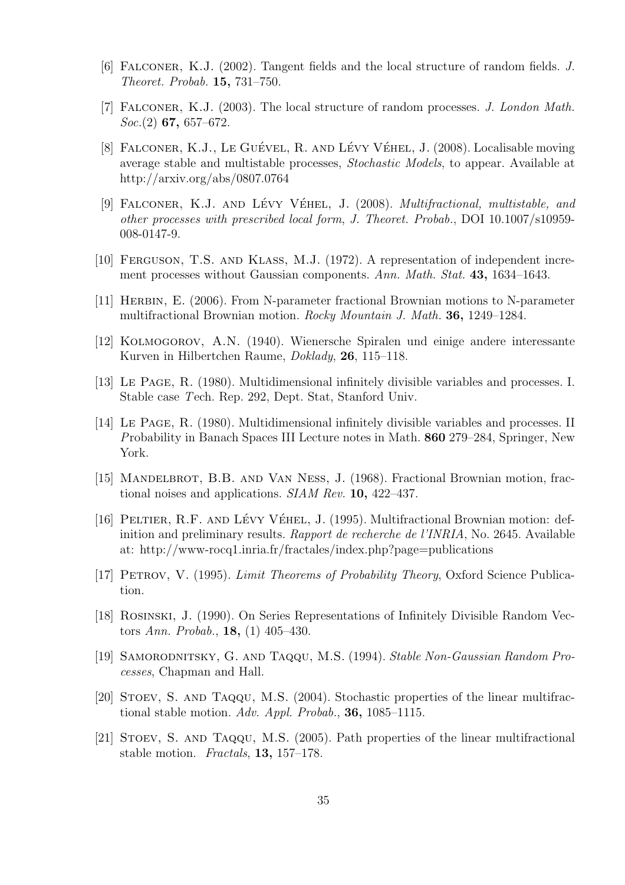- [6] Falconer, K.J. (2002). Tangent fields and the local structure of random fields. J. Theoret. Probab. 15, 731–750.
- [7] FALCONER, K.J. (2003). The local structure of random processes. J. London Math.  $Soc.(2)$  67, 657–672.
- [8] FALCONER, K.J., LE GUÉVEL, R. AND LÉVY VÉHEL, J. (2008). Localisable moving average stable and multistable processes, Stochastic Models, to appear. Available at http://arxiv.org/abs/0807.0764
- [9] FALCONER, K.J. AND LÉVY VÉHEL, J. (2008). *Multifractional, multistable, and* other processes with prescribed local form, J. Theoret. Probab., DOI 10.1007/s10959- 008-0147-9.
- [10] FERGUSON, T.S. AND KLASS, M.J. (1972). A representation of independent increment processes without Gaussian components. Ann. Math. Stat. 43, 1634–1643.
- [11] Herbin, E. (2006). From N-parameter fractional Brownian motions to N-parameter multifractional Brownian motion. Rocky Mountain J. Math. 36, 1249–1284.
- [12] Kolmogorov, A.N. (1940). Wienersche Spiralen und einige andere interessante Kurven in Hilbertchen Raume, Doklady, 26, 115–118.
- [13] Le Page, R. (1980). Multidimensional infinitely divisible variables and processes. I. Stable case Tech. Rep. 292, Dept. Stat, Stanford Univ.
- [14] Le Page, R. (1980). Multidimensional infinitely divisible variables and processes. II Probability in Banach Spaces III Lecture notes in Math. 860 279–284, Springer, New York.
- [15] MANDELBROT, B.B. AND VAN NESS, J. (1968). Fractional Brownian motion, fractional noises and applications. SIAM Rev. 10, 422–437.
- [16] PELTIER, R.F. AND LÉVY VÉHEL, J. (1995). Multifractional Brownian motion: definition and preliminary results. Rapport de recherche de l'INRIA, No. 2645. Available at: http://www-rocq1.inria.fr/fractales/index.php?page=publications
- [17] Petrov, V. (1995). Limit Theorems of Probability Theory, Oxford Science Publication.
- [18] Rosinski, J. (1990). On Series Representations of Infinitely Divisible Random Vectors Ann. Probab., 18, (1) 405–430.
- [19] Samorodnitsky, G. and Taqqu, M.S. (1994). Stable Non-Gaussian Random Processes, Chapman and Hall.
- [20] Stoev, S. and Taqqu, M.S. (2004). Stochastic properties of the linear multifractional stable motion. Adv. Appl. Probab., 36, 1085–1115.
- [21] Stoev, S. and Taqqu, M.S. (2005). Path properties of the linear multifractional stable motion. Fractals, 13, 157–178.